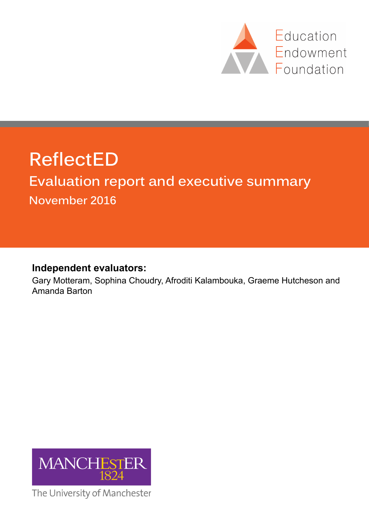

# **ReflectED**

## **Evaluation report and executive summary November 2016**

### **Independent evaluators:**

Gary Motteram, Sophina Choudry, Afroditi Kalambouka, Graeme Hutcheson and Amanda Barton



The University of Manchester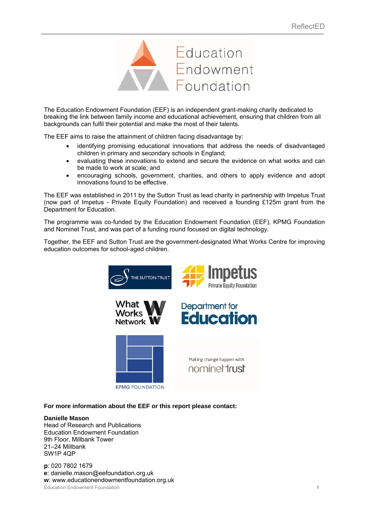

The Education Endowment Foundation (EEF) is an independent grant-making charity dedicated to breaking the link between family income and educational achievement, ensuring that children from all backgrounds can fulfil their potential and make the most of their talents.

The EEF aims to raise the attainment of children facing disadvantage by:

- identifying promising educational innovations that address the needs of disadvantaged children in primary and secondary schools in England;
- evaluating these innovations to extend and secure the evidence on what works and can be made to work at scale; and
- encouraging schools, government, charities, and others to apply evidence and adopt innovations found to be effective.

The EEF was established in 2011 by the Sutton Trust as lead charity in partnership with Impetus Trust (now part of Impetus - Private Equity Foundation) and received a founding £125m grant from the Department for Education.

The programme was co-funded by the Education Endowment Foundation (EEF), KPMG Foundation and Nominet Trust, and was part of a funding round focused on digital technology.

Together, the EEF and Sutton Trust are the government-designated What Works Centre for improving education outcomes for school-aged children.



#### **For more information about the EEF or this report please contact:**

#### **Danielle Mason**

Head of Research and Publications Education Endowment Foundation 9th Floor, Millbank Tower 21–24 Millbank SW1P 4QP

Education Endowment Foundation 1 **p**: 020 7802 1679 **e**: danielle.mason@eefoundation.org.uk **w**: www.educationendowmentfoundation.org.uk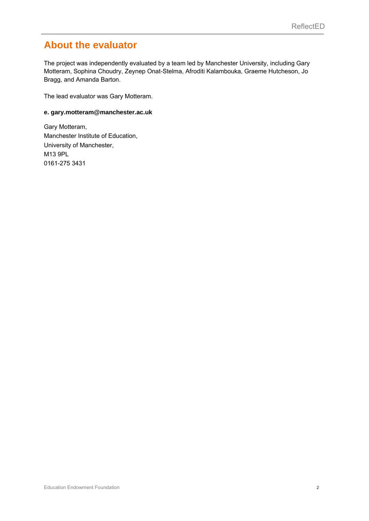### **About the evaluator**

The project was independently evaluated by a team led by Manchester University, including Gary Motteram, Sophina Choudry, Zeynep Onat-Stelma, Afroditi Kalambouka, Graeme Hutcheson, Jo Bragg, and Amanda Barton.

The lead evaluator was Gary Motteram.

#### **e. gary.motteram@manchester.ac.uk**

Gary Motteram, Manchester Institute of Education, University of Manchester, M13 9PL 0161-275 3431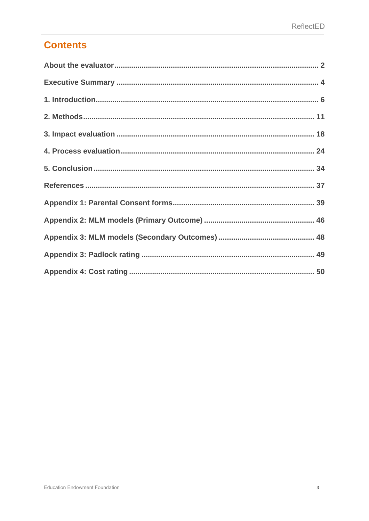### **Contents**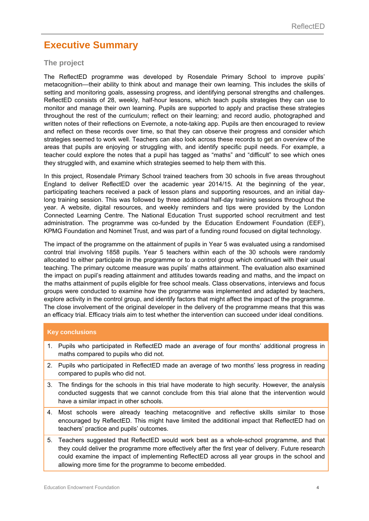### **Executive Summary**

#### **The project**

The ReflectED programme was developed by Rosendale Primary School to improve pupils' metacognition—their ability to think about and manage their own learning. This includes the skills of setting and monitoring goals, assessing progress, and identifying personal strengths and challenges. ReflectED consists of 28, weekly, half-hour lessons, which teach pupils strategies they can use to monitor and manage their own learning. Pupils are supported to apply and practise these strategies throughout the rest of the curriculum; reflect on their learning; and record audio, photographed and written notes of their reflections on Evernote, a note-taking app. Pupils are then encouraged to review and reflect on these records over time, so that they can observe their progress and consider which strategies seemed to work well. Teachers can also look across these records to get an overview of the areas that pupils are enjoying or struggling with, and identify specific pupil needs. For example, a teacher could explore the notes that a pupil has tagged as "maths" and "difficult" to see which ones they struggled with, and examine which strategies seemed to help them with this.

In this project, Rosendale Primary School trained teachers from 30 schools in five areas throughout England to deliver ReflectED over the academic year 2014/15. At the beginning of the year, participating teachers received a pack of lesson plans and supporting resources, and an initial daylong training session. This was followed by three additional half-day training sessions throughout the year. A website, digital resources, and weekly reminders and tips were provided by the London Connected Learning Centre. The National Education Trust supported school recruitment and test administration. The programme was co-funded by the Education Endowment Foundation (EEF), KPMG Foundation and Nominet Trust, and was part of a funding round focused on digital technology.

The impact of the programme on the attainment of pupils in Year 5 was evaluated using a randomised control trial involving 1858 pupils. Year 5 teachers within each of the 30 schools were randomly allocated to either participate in the programme or to a control group which continued with their usual teaching. The primary outcome measure was pupils' maths attainment. The evaluation also examined the impact on pupil's reading attainment and attitudes towards reading and maths, and the impact on the maths attainment of pupils eligible for free school meals. Class observations, interviews and focus groups were conducted to examine how the programme was implemented and adapted by teachers, explore activity in the control group, and identify factors that might affect the impact of the programme. The close involvement of the original developer in the delivery of the programme means that this was an efficacy trial. Efficacy trials aim to test whether the intervention can succeed under ideal conditions.

#### **Key conclusions**

- 1. Pupils who participated in ReflectED made an average of four months' additional progress in maths compared to pupils who did not.
- 2. Pupils who participated in ReflectED made an average of two months' less progress in reading compared to pupils who did not.
- 3. The findings for the schools in this trial have moderate to high security. However, the analysis conducted suggests that we cannot conclude from this trial alone that the intervention would have a similar impact in other schools.
- 4. Most schools were already teaching metacognitive and reflective skills similar to those encouraged by ReflectED. This might have limited the additional impact that ReflectED had on teachers' practice and pupils' outcomes.
- 5. Teachers suggested that ReflectED would work best as a whole-school programme, and that they could deliver the programme more effectively after the first year of delivery. Future research could examine the impact of implementing ReflectED across all year groups in the school and allowing more time for the programme to become embedded.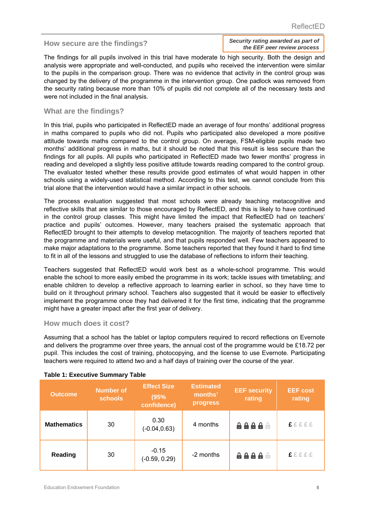*Security rating awarded as part of the EEF peer review process* **How secure are the findings?** 

The findings for all pupils involved in this trial have moderate to high security. Both the design and analysis were appropriate and well-conducted, and pupils who received the intervention were similar to the pupils in the comparison group. There was no evidence that activity in the control group was changed by the delivery of the programme in the intervention group. One padlock was removed from the security rating because more than 10% of pupils did not complete all of the necessary tests and were not included in the final analysis.

#### **What are the findings?**

In this trial, pupils who participated in ReflectED made an average of four months' additional progress in maths compared to pupils who did not. Pupils who participated also developed a more positive attitude towards maths compared to the control group. On average, FSM-eligible pupils made two months' additional progress in maths, but it should be noted that this result is less secure than the findings for all pupils. All pupils who participated in ReflectED made two fewer months' progress in reading and developed a slightly less positive attitude towards reading compared to the control group. The evaluator tested whether these results provide good estimates of what would happen in other schools using a widely-used statistical method. According to this test, we cannot conclude from this trial alone that the intervention would have a similar impact in other schools.

The process evaluation suggested that most schools were already teaching metacognitive and reflective skills that are similar to those encouraged by ReflectED, and this is likely to have continued in the control group classes. This might have limited the impact that ReflectED had on teachers' practice and pupils' outcomes. However, many teachers praised the systematic approach that ReflectED brought to their attempts to develop metacognition. The majority of teachers reported that the programme and materials were useful, and that pupils responded well. Few teachers appeared to make major adaptations to the programme. Some teachers reported that they found it hard to find time to fit in all of the lessons and struggled to use the database of reflections to inform their teaching.

Teachers suggested that ReflectED would work best as a whole-school programme. This would enable the school to more easily embed the programme in its work; tackle issues with timetabling; and enable children to develop a reflective approach to learning earlier in school, so they have time to build on it throughout primary school. Teachers also suggested that it would be easier to effectively implement the programme once they had delivered it for the first time, indicating that the programme might have a greater impact after the first year of delivery.

#### **How much does it cost?**

Assuming that a school has the tablet or laptop computers required to record reflections on Evernote and delivers the programme over three years, the annual cost of the programme would be £18.72 per pupil. This includes the cost of training, photocopying, and the license to use Evernote. Participating teachers were required to attend two and a half days of training over the course of the year.

| <b>Outcome</b>     | <b>Number of</b><br><b>schools</b> | <b>Effect Size</b><br>(95%<br>confidence) | <b>Estimated</b><br>months'<br>progress | <b>EEF security</b><br>rating | <b>EEF cost</b><br>rating |
|--------------------|------------------------------------|-------------------------------------------|-----------------------------------------|-------------------------------|---------------------------|
| <b>Mathematics</b> | 30                                 | 0.30<br>$(-0.04, 0.63)$                   | 4 months                                | 8888 S                        | <b>£</b> ££££             |
| <b>Reading</b>     | 30                                 | $-0.15$<br>$(-0.59, 0.29)$                | -2 months                               | 8888 S                        | <b>EEEEE</b>              |

#### **Table 1: Executive Summary Table**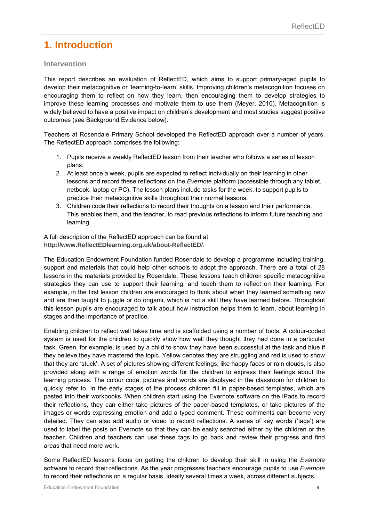### **1. Introduction**

#### **Intervention**

This report describes an evaluation of ReflectED, which aims to support primary-aged pupils to develop their metacognitive or 'learning-to-learn' skills. Improving children's metacognition focuses on encouraging them to reflect on how they learn, then encouraging them to develop strategies to improve these learning processes and motivate them to use them (Meyer, 2010). Metacognition is widely believed to have a positive impact on children's development and most studies suggest positive outcomes (see Background Evidence below).

Teachers at Rosendale Primary School developed the ReflectED approach over a number of years. The ReflectED approach comprises the following:

- 1. Pupils receive a weekly ReflectED lesson from their teacher who follows a series of lesson plans.
- 2. At least once a week, pupils are expected to reflect individually on their learning in other lessons and record these reflections on the *Evernote* platform (accessible through any tablet, netbook, laptop or PC). The lesson plans include tasks for the week, to support pupils to practice their metacognitive skills throughout their normal lessons.
- 3. Children code their reflections to record their thoughts on a lesson and their performance. This enables them, and the teacher, to read previous reflections to inform future teaching and learning.

A full description of the ReflectED approach can be found at **http://www.ReflectEDlearning.org.uk/about-ReflectED/**.

The Education Endowment Foundation funded Rosendale to develop a programme including training, support and materials that could help other schools to adopt the approach. There are a total of 28 lessons in the materials provided by Rosendale. These lessons teach children specific metacognitive strategies they can use to support their learning, and teach them to reflect on their learning. For example, in the first lesson children are encouraged to think about when they learned something new and are then taught to juggle or do origami, which is not a skill they have learned before. Throughout this lesson pupils are encouraged to talk about how instruction helps them to learn, about learning in stages and the importance of practice.

Enabling children to reflect well takes time and is scaffolded using a number of tools. A colour-coded system is used for the children to quickly show how well they thought they had done in a particular task. Green, for example, is used by a child to show they have been successful at the task and blue if they believe they have mastered the topic. Yellow denotes they are struggling and red is used to show that they are 'stuck'. A set of pictures showing different feelings, like happy faces or rain clouds, is also provided along with a range of emotion words for the children to express their feelings about the learning process. The colour code, pictures and words are displayed in the classroom for children to quickly refer to. In the early stages of the process children fill in paper-based templates, which are pasted into their workbooks. When children start using the Evernote software on the iPads to record their reflections, they can either take pictures of the paper-based templates, or take pictures of the images or words expressing emotion and add a typed comment. These comments can become very detailed. They can also add audio or video to record reflections. A series of key words ('tags') are used to label the posts on Evernote so that they can be easily searched either by the children or the teacher. Children and teachers can use these tags to go back and review their progress and find areas that need more work.

Some ReflectED lessons focus on getting the children to develop their skill in using the *Evernote*  software to record their reflections. As the year progresses teachers encourage pupils to use *Evernote* to record their reflections on a regular basis, ideally several times a week, across different subjects.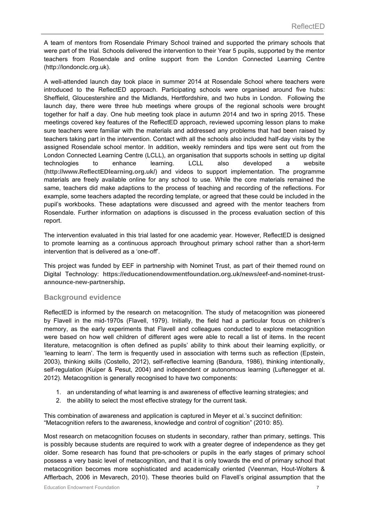A team of mentors from Rosendale Primary School trained and supported the primary schools that were part of the trial. Schools delivered the intervention to their Year 5 pupils, supported by the mentor teachers from Rosendale and online support from the London Connected Learning Centre (http://londonclc.org.uk).

A well-attended launch day took place in summer 2014 at Rosendale School where teachers were introduced to the ReflectED approach. Participating schools were organised around five hubs: Sheffield, Gloucestershire and the Midlands, Hertfordshire, and two hubs in London. Following the launch day, there were three hub meetings where groups of the regional schools were brought together for half a day. One hub meeting took place in autumn 2014 and two in spring 2015. These meetings covered key features of the ReflectED approach, reviewed upcoming lesson plans to make sure teachers were familiar with the materials and addressed any problems that had been raised by teachers taking part in the intervention. Contact with all the schools also included half-day visits by the assigned Rosendale school mentor. In addition, weekly reminders and tips were sent out from the London Connected Learning Centre (LCLL), an organisation that supports schools in setting up digital technologies to enhance learning. LCLL also developed a website (**http://www.ReflectEDlearning.org.uk/**) and videos to support implementation. The programme materials are freely available online for any school to use. While the core materials remained the same, teachers did make adaptions to the process of teaching and recording of the reflections. For example, some teachers adapted the recording template, or agreed that these could be included in the pupil's workbooks. These adaptations were discussed and agreed with the mentor teachers from Rosendale. Further information on adaptions is discussed in the process evaluation section of this report.

The intervention evaluated in this trial lasted for one academic year. However, ReflectED is designed to promote learning as a continuous approach throughout primary school rather than a short-term intervention that is delivered as a 'one-off'.

This project was funded by EEF in partnership with Nominet Trust, as part of their themed round on Digital Technology: **https://educationendowmentfoundation.org.uk/news/eef-and-nominet-trustannounce-new-partnership.**

#### **Background evidence**

ReflectED is informed by the research on metacognition. The study of metacognition was pioneered by Flavell in the mid-1970s (Flavell, 1979). Initially, the field had a particular focus on children's memory, as the early experiments that Flavell and colleagues conducted to explore metacognition were based on how well children of different ages were able to recall a list of items. In the recent literature, metacognition is often defined as pupils' ability to think about their learning explicitly, or 'learning to learn'. The term is frequently used in association with terms such as reflection (Epstein, 2003), thinking skills (Costello, 2012), self-reflective learning (Bandura, 1986), thinking intentionally, self-regulation (Kuiper & Pesut, 2004) and independent or autonomous learning (Luftenegger et al. 2012). Metacognition is generally recognised to have two components:

- 1. an understanding of what learning is and awareness of effective learning strategies; and
- 2. the ability to select the most effective strategy for the current task.

This combination of awareness and application is captured in Meyer et al.'s succinct definition: "Metacognition refers to the awareness, knowledge and control of cognition" (2010: 85).

Most research on metacognition focuses on students in secondary, rather than primary, settings. This is possibly because students are required to work with a greater degree of independence as they get older. Some research has found that pre-schoolers or pupils in the early stages of primary school possess a very basic level of metacognition, and that it is only towards the end of primary school that metacognition becomes more sophisticated and academically oriented (Veenman, Hout-Wolters & Afflerbach, 2006 in Mevarech, 2010). These theories build on Flavell's original assumption that the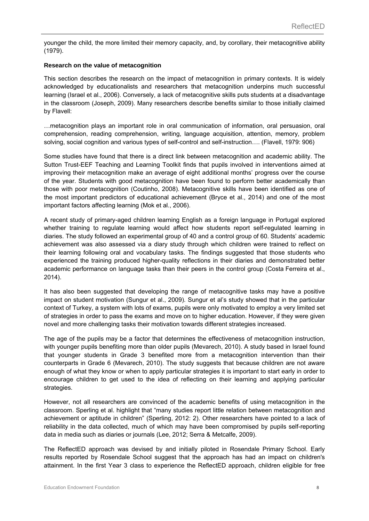younger the child, the more limited their memory capacity, and, by corollary, their metacognitive ability (1979).

#### **Research on the value of metacognition**

This section describes the research on the impact of metacognition in primary contexts. It is widely acknowledged by educationalists and researchers that metacognition underpins much successful learning (Israel et al., 2006). Conversely, a lack of metacognitive skills puts students at a disadvantage in the classroom (Joseph, 2009). Many researchers describe benefits similar to those initially claimed by Flavell:

…metacognition plays an important role in oral communication of information, oral persuasion, oral comprehension, reading comprehension, writing, language acquisition, attention, memory, problem solving, social cognition and various types of self-control and self-instruction…. (Flavell, 1979: 906)

Some studies have found that there is a direct link between metacognition and academic ability. The Sutton Trust-EEF Teaching and Learning Toolkit finds that pupils involved in interventions aimed at improving their metacognition make an average of eight additional months' progress over the course of the year. Students with good metacognition have been found to perform better academically than those with poor metacognition (Coutinho, 2008). Metacognitive skills have been identified as one of the most important predictors of educational achievement (Bryce et al., 2014) and one of the most important factors affecting learning (Mok et al., 2006).

A recent study of primary-aged children learning English as a foreign language in Portugal explored whether training to regulate learning would affect how students report self-regulated learning in diaries. The study followed an experimental group of 40 and a control group of 60. Students' academic achievement was also assessed via a diary study through which children were trained to reflect on their learning following oral and vocabulary tasks. The findings suggested that those students who experienced the training produced higher-quality reflections in their diaries and demonstrated better academic performance on language tasks than their peers in the control group (Costa Ferreira et al., 2014).

It has also been suggested that developing the range of metacognitive tasks may have a positive impact on student motivation (Sungur et al., 2009). Sungur et al's study showed that in the particular context of Turkey, a system with lots of exams, pupils were only motivated to employ a very limited set of strategies in order to pass the exams and move on to higher education. However, if they were given novel and more challenging tasks their motivation towards different strategies increased.

The age of the pupils may be a factor that determines the effectiveness of metacognition instruction, with younger pupils benefiting more than older pupils (Mevarech, 2010). A study based in Israel found that younger students in Grade 3 benefited more from a metacognition intervention than their counterparts in Grade 6 (Mevarech, 2010). The study suggests that because children are not aware enough of what they know or when to apply particular strategies it is important to start early in order to encourage children to get used to the idea of reflecting on their learning and applying particular strategies.

However, not all researchers are convinced of the academic benefits of using metacognition in the classroom. Sperling et al. highlight that "many studies report little relation between metacognition and achievement or aptitude in children" (Sperling, 2012: 2). Other researchers have pointed to a lack of reliability in the data collected, much of which may have been compromised by pupils self-reporting data in media such as diaries or journals (Lee, 2012; Serra & Metcalfe, 2009).

The ReflectED approach was devised by and initially piloted in Rosendale Primary School. Early results reported by Rosendale School suggest that the approach has had an impact on children's attainment. In the first Year 3 class to experience the ReflectED approach, children eligible for free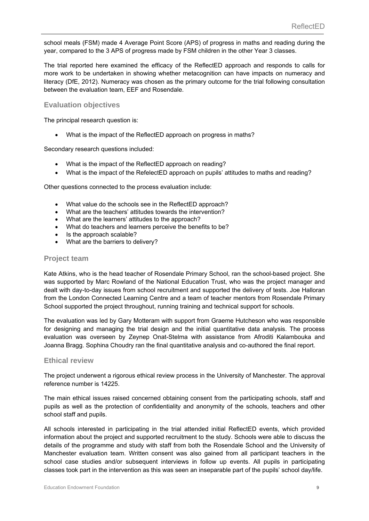school meals (FSM) made 4 Average Point Score (APS) of progress in maths and reading during the year, compared to the 3 APS of progress made by FSM children in the other Year 3 classes.

The trial reported here examined the efficacy of the ReflectED approach and responds to calls for more work to be undertaken in showing whether metacognition can have impacts on numeracy and literacy (DfE, 2012). Numeracy was chosen as the primary outcome for the trial following consultation between the evaluation team, EEF and Rosendale.

#### **Evaluation objectives**

The principal research question is:

What is the impact of the ReflectED approach on progress in maths?

Secondary research questions included:

- What is the impact of the ReflectED approach on reading?
- What is the impact of the RefelectED approach on pupils' attitudes to maths and reading?

Other questions connected to the process evaluation include:

- What value do the schools see in the ReflectED approach?
- What are the teachers' attitudes towards the intervention?
- What are the learners' attitudes to the approach?
- What do teachers and learners perceive the benefits to be?
- Is the approach scalable?
- What are the barriers to delivery?

#### **Project team**

Kate Atkins, who is the head teacher of Rosendale Primary School, ran the school-based project. She was supported by Marc Rowland of the National Education Trust, who was the project manager and dealt with day-to-day issues from school recruitment and supported the delivery of tests. Joe Halloran from the London Connected Learning Centre and a team of teacher mentors from Rosendale Primary School supported the project throughout, running training and technical support for schools.

The evaluation was led by Gary Motteram with support from Graeme Hutcheson who was responsible for designing and managing the trial design and the initial quantitative data analysis. The process evaluation was overseen by Zeynep Onat-Stelma with assistance from Afroditi Kalambouka and Joanna Bragg. Sophina Choudry ran the final quantitative analysis and co-authored the final report.

#### **Ethical review**

The project underwent a rigorous ethical review process in the University of Manchester. The approval reference number is 14225.

The main ethical issues raised concerned obtaining consent from the participating schools, staff and pupils as well as the protection of confidentiality and anonymity of the schools, teachers and other school staff and pupils.

All schools interested in participating in the trial attended initial ReflectED events, which provided information about the project and supported recruitment to the study. Schools were able to discuss the details of the programme and study with staff from both the Rosendale School and the University of Manchester evaluation team. Written consent was also gained from all participant teachers in the school case studies and/or subsequent interviews in follow up events. All pupils in participating classes took part in the intervention as this was seen an inseparable part of the pupils' school day/life.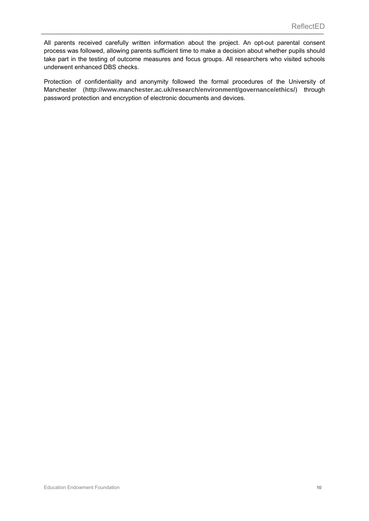All parents received carefully written information about the project. An opt-out parental consent process was followed, allowing parents sufficient time to make a decision about whether pupils should take part in the testing of outcome measures and focus groups. All researchers who visited schools underwent enhanced DBS checks.

Protection of confidentiality and anonymity followed the formal procedures of the University of Manchester (**http://www.manchester.ac.uk/research/environment/governance/ethics/**) through password protection and encryption of electronic documents and devices.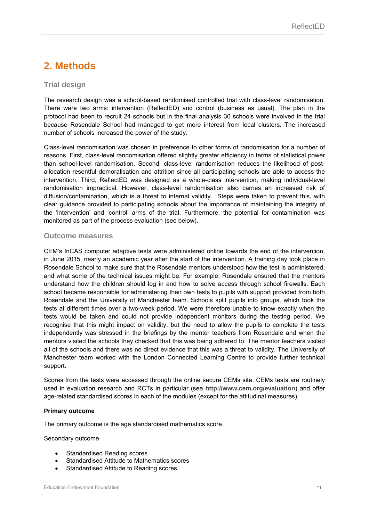### **2. Methods**

#### **Trial design**

The research design was a school-based randomised controlled trial with class-level randomisation. There were two arms: intervention (ReflectED) and control (business as usual). The plan in the protocol had been to recruit 24 schools but in the final analysis 30 schools were involved in the trial because Rosendale School had managed to get more interest from local clusters. The increased number of schools increased the power of the study.

Class-level randomisation was chosen in preference to other forms of randomisation for a number of reasons. First, class-level randomisation offered slightly greater efficiency in terms of statistical power than school-level randomisation. Second, class-level randomisation reduces the likelihood of postallocation resentful demoralisation and attrition since all participating schools are able to access the intervention. Third, ReflectED was designed as a whole-class intervention, making individual-level randomisation impractical. However, class-level randomisation also carries an increased risk of diffusion/contamination, which is a threat to internal validity. Steps were taken to prevent this, with clear guidance provided to participating schools about the importance of maintaining the integrity of the 'intervention' and 'control' arms of the trial. Furthermore, the potential for contamination was monitored as part of the process evaluation (see below).

#### **Outcome measures**

CEM's InCAS computer adaptive tests were administered online towards the end of the intervention, in June 2015, nearly an academic year after the start of the intervention. A training day took place in Rosendale School to make sure that the Rosendale mentors understood how the test is administered, and what some of the technical issues might be. For example, Rosendale ensured that the mentors understand how the children should log in and how to solve access through school firewalls. Each school became responsible for administering their own tests to pupils with support provided from both Rosendale and the University of Manchester team. Schools split pupils into groups, which took the tests at different times over a two-week period. We were therefore unable to know exactly when the tests would be taken and could not provide independent monitors during the testing period. We recognise that this might impact on validity, but the need to allow the pupils to complete the tests independently was stressed in the briefings by the mentor teachers from Rosendale and when the mentors visited the schools they checked that this was being adhered to. The mentor teachers visited all of the schools and there was no direct evidence that this was a threat to validity. The University of Manchester team worked with the London Connected Learning Centre to provide further technical support.

Scores from the tests were accessed through the online secure CEMs site. CEMs tests are routinely used in evaluation research and RCTs in particular (see **http://www.cem.org/evaluation**) and offer age-related standardised scores in each of the modules (except for the attitudinal measures).

#### **Primary outcome**

The primary outcome is the age standardised mathematics score.

#### Secondary outcome

- Standardised Reading scores
- Standardised Attitude to Mathematics scores
- Standardised Attitude to Reading scores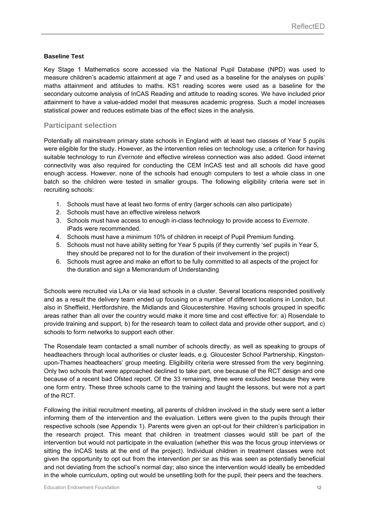#### **Baseline Test**

Key Stage 1 Mathematics score accessed via the National Pupil Database (NPD) was used to measure children's academic attainment at age 7 and used as a baseline for the analyses on pupils' maths attainment and attitudes to maths. KS1 reading scores were used as a baseline for the secondary outcome analysis of InCAS Reading and attitude to reading scores. We have included prior attainment to have a value-added model that measures academic progress. Such a model increases statistical power and reduces estimate bias of the effect sizes in the analysis.

#### **Participant selection**

Potentially all mainstream primary state schools in England with at least two classes of Year 5 pupils were eligible for the study. However, as the intervention relies on technology use, a criterion for having suitable technology to run *Evernote* and effective wireless connection was also added. Good internet connectivity was also required for conducting the CEM InCAS test and all schools did have good enough access. However, none of the schools had enough computers to test a whole class in one batch so the children were tested in smaller groups. The following eligibility criteria were set in recruiting schools:

- 1. Schools must have at least two forms of entry (larger schools can also participate)
- 2. Schools must have an effective wireless network
- 3. Schools must have access to enough in-class technology to provide access to *Evernote*. iPads were recommended.
- 4. Schools must have a minimum 10% of children in receipt of Pupil Premium funding.
- 5. Schools must not have ability setting for Year 5 pupils (if they currently 'set' pupils in Year 5, they should be prepared not to for the duration of their involvement in the project)
- 6. Schools must agree and make an effort to be fully committed to all aspects of the project for the duration and sign a Memorandum of Understanding

Schools were recruited via LAs or via lead schools in a cluster. Several locations responded positively and as a result the delivery team ended up focusing on a number of different locations in London, but also in Sheffield, Hertfordshire, the Midlands and Gloucestershire. Having schools grouped in specific areas rather than all over the country would make it more time and cost effective for: a) Rosendale to provide training and support, b) for the research team to collect data and provide other support, and c) schools to form networks to support each other.

The Rosendale team contacted a small number of schools directly, as well as speaking to groups of headteachers through local authorities or cluster leads, e.g. Gloucester School Partnership, Kingstonupon-Thames headteachers' group meeting. Eligibility criteria were stressed from the very beginning. Only two schools that were approached declined to take part, one because of the RCT design and one because of a recent bad Ofsted report. Of the 33 remaining, three were excluded because they were one form entry. These three schools came to the training and taught the lessons, but were not a part of the RCT.

Following the initial recruitment meeting, all parents of children involved in the study were sent a letter informing them of the intervention and the evaluation. Letters were given to the pupils through their respective schools (see Appendix 1). Parents were given an opt-out for their children's participation in the research project. This meant that children in treatment classes would still be part of the intervention but would not participate in the evaluation (whether this was the focus group interviews or sitting the InCAS tests at the end of the project). Individual children in treatment classes were not given the opportunity to opt out from the intervention *per se* as this was seen as potentially beneficial and not deviating from the school's normal day; also since the intervention would ideally be embedded in the whole curriculum, opting out would be unsettling both for the pupil, their peers and the teachers.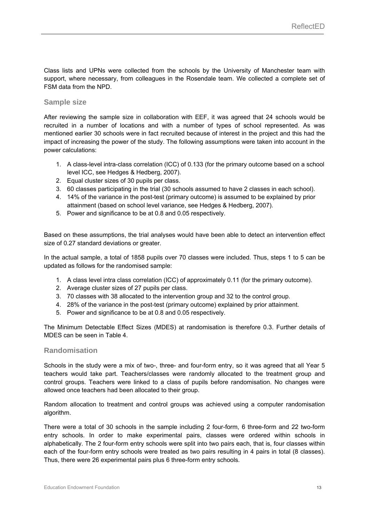Class lists and UPNs were collected from the schools by the University of Manchester team with support, where necessary, from colleagues in the Rosendale team. We collected a complete set of FSM data from the NPD.

#### **Sample size**

After reviewing the sample size in collaboration with EEF, it was agreed that 24 schools would be recruited in a number of locations and with a number of types of school represented. As was mentioned earlier 30 schools were in fact recruited because of interest in the project and this had the impact of increasing the power of the study. The following assumptions were taken into account in the power calculations:

- 1. A class-level intra-class correlation (ICC) of 0.133 (for the primary outcome based on a school level ICC, see Hedges & Hedberg, 2007).
- 2. Equal cluster sizes of 30 pupils per class.
- 3. 60 classes participating in the trial (30 schools assumed to have 2 classes in each school).
- 4. 14% of the variance in the post-test (primary outcome) is assumed to be explained by prior attainment (based on school level variance, see Hedges & Hedberg, 2007).
- 5. Power and significance to be at 0.8 and 0.05 respectively.

Based on these assumptions, the trial analyses would have been able to detect an intervention effect size of 0.27 standard deviations or greater.

In the actual sample, a total of 1858 pupils over 70 classes were included. Thus, steps 1 to 5 can be updated as follows for the randomised sample:

- 1. A class level intra class correlation (ICC) of approximately 0.11 (for the primary outcome).
- 2. Average cluster sizes of 27 pupils per class.
- 3. 70 classes with 38 allocated to the intervention group and 32 to the control group.
- 4. 28% of the variance in the post-test (primary outcome) explained by prior attainment.
- 5. Power and significance to be at 0.8 and 0.05 respectively.

The Minimum Detectable Effect Sizes (MDES) at randomisation is therefore 0.3. Further details of MDES can be seen in Table 4.

#### **Randomisation**

Schools in the study were a mix of two-, three- and four-form entry, so it was agreed that all Year 5 teachers would take part. Teachers/classes were randomly allocated to the treatment group and control groups. Teachers were linked to a class of pupils before randomisation. No changes were allowed once teachers had been allocated to their group.

Random allocation to treatment and control groups was achieved using a computer randomisation algorithm.

There were a total of 30 schools in the sample including 2 four-form, 6 three-form and 22 two-form entry schools. In order to make experimental pairs, classes were ordered within schools in alphabetically. The 2 four-form entry schools were split into two pairs each, that is, four classes within each of the four-form entry schools were treated as two pairs resulting in 4 pairs in total (8 classes). Thus, there were 26 experimental pairs plus 6 three-form entry schools.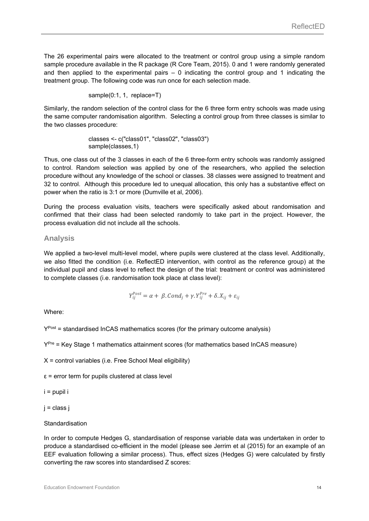The 26 experimental pairs were allocated to the treatment or control group using a simple random sample procedure available in the R package (R Core Team, 2015). 0 and 1 were randomly generated and then applied to the experimental pairs  $-0$  indicating the control group and 1 indicating the treatment group. The following code was run once for each selection made.

sample(0:1, 1, replace=T)

Similarly, the random selection of the control class for the 6 three form entry schools was made using the same computer randomisation algorithm. Selecting a control group from three classes is similar to the two classes procedure:

> classes <- c("class01", "class02", "class03") sample(classes,1)

Thus, one class out of the 3 classes in each of the 6 three-form entry schools was randomly assigned to control. Random selection was applied by one of the researchers, who applied the selection procedure without any knowledge of the school or classes. 38 classes were assigned to treatment and 32 to control. Although this procedure led to unequal allocation, this only has a substantive effect on power when the ratio is 3:1 or more (Dumville et al, 2006).

During the process evaluation visits, teachers were specifically asked about randomisation and confirmed that their class had been selected randomly to take part in the project. However, the process evaluation did not include all the schools.

**Analysis** 

We applied a two-level multi-level model, where pupils were clustered at the class level. Additionally, we also fitted the condition (i.e. ReflectED intervention, with control as the reference group) at the individual pupil and class level to reflect the design of the trial: treatment or control was administered to complete classes (i.e. randomisation took place at class level):

$$
Y_{ij}^{Post} = \alpha + \beta \cdot Cond_j + \gamma \cdot Y_{ij}^{Pre} + \delta \cdot X_{ij} + \varepsilon_{ij}
$$

Where:

 $Y<sup>Post</sup>$  = standardised InCAS mathematics scores (for the primary outcome analysis)

 $Y^{Pre}$  = Key Stage 1 mathematics attainment scores (for mathematics based InCAS measure)

 $X =$  control variables (i.e. Free School Meal eligibility)

 $\epsilon$  = error term for pupils clustered at class level

i = pupil i

j = class j

#### **Standardisation**

In order to compute Hedges G, standardisation of response variable data was undertaken in order to produce a standardised co-efficient in the model (please see Jerrim et al (2015) for an example of an EEF evaluation following a similar process). Thus, effect sizes (Hedges G) were calculated by firstly converting the raw scores into standardised Z scores: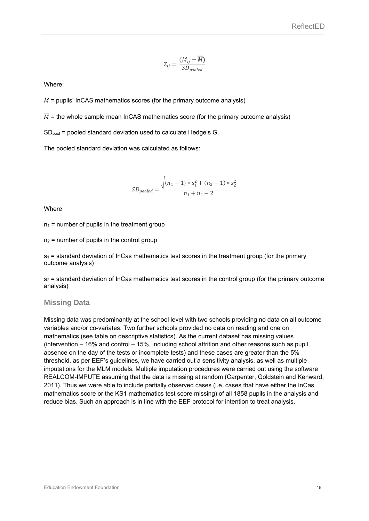$$
Z_{ij} = \frac{(M_{ij} - \overline{\overline{M}})}{SD_{pooled}}
$$

Where:

 $M$  = pupils' InCAS mathematics scores (for the primary outcome analysis)

 $\overline{M}$  = the whole sample mean InCAS mathematics score (for the primary outcome analysis)

SDpool = pooled standard deviation used to calculate Hedge's G.

The pooled standard deviation was calculated as follows:

$$
SD_{pooled} = \frac{\sqrt{(n_1 - 1) * s_1^2 + (n_2 - 1) * s_2^2}}{n_1 + n_2 - 2}
$$

**Where** 

 $n_1$  = number of pupils in the treatment group

 $n_2$  = number of pupils in the control group

 $s_1$  = standard deviation of InCas mathematics test scores in the treatment group (for the primary outcome analysis)

 $s<sub>2</sub>$  = standard deviation of InCas mathematics test scores in the control group (for the primary outcome analysis)

#### **Missing Data**

Missing data was predominantly at the school level with two schools providing no data on all outcome variables and/or co-variates. Two further schools provided no data on reading and one on mathematics (see table on descriptive statistics). As the current dataset has missing values (intervention – 16% and control – 15%, including school attrition and other reasons such as pupil absence on the day of the tests or incomplete tests) and these cases are greater than the 5% threshold, as per EEF's guidelines, we have carried out a sensitivity analysis, as well as multiple imputations for the MLM models. Multiple imputation procedures were carried out using the software REALCOM-IMPUTE assuming that the data is missing at random (Carpenter, Goldstein and Kenward, 2011). Thus we were able to include partially observed cases (i.e. cases that have either the InCas mathematics score or the KS1 mathematics test score missing) of all 1858 pupils in the analysis and reduce bias. Such an approach is in line with the EEF protocol for intention to treat analysis.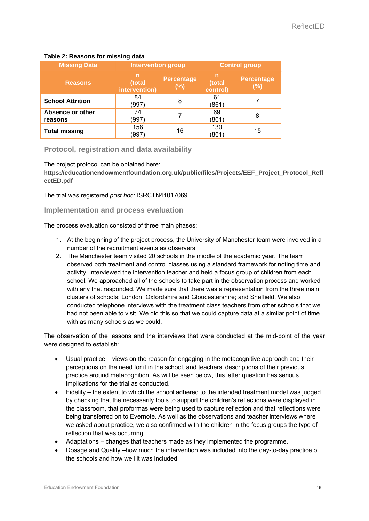| <b>Missing Data</b>         | <b>Intervention group</b>    |                          | <b>Control group</b>    |                          |  |
|-----------------------------|------------------------------|--------------------------|-------------------------|--------------------------|--|
| <b>Reasons</b>              | n<br>(total<br>intervention) | <b>Percentage</b><br>(%) | n<br>(total<br>control) | <b>Percentage</b><br>(%) |  |
| <b>School Attrition</b>     | 84<br>(997)                  | 8                        | 61<br>(861              |                          |  |
| Absence or other<br>reasons | 74<br>(997)                  |                          | 69<br>(861              | 8                        |  |
| <b>Total missing</b>        | 158<br>(997)                 | 16                       | 130<br>(861             | 15                       |  |

#### **Table 2: Reasons for missing data**

#### **Protocol, registration and data availability**

The project protocol can be obtained here:

**https://educationendowmentfoundation.org.uk/public/files/Projects/EEF\_Project\_Protocol\_Refl ectED.pdf**

The trial was registered *post hoc*: ISRCTN41017069

#### **Implementation and process evaluation**

The process evaluation consisted of three main phases:

- 1. At the beginning of the project process, the University of Manchester team were involved in a number of the recruitment events as observers.
- 2. The Manchester team visited 20 schools in the middle of the academic year. The team observed both treatment and control classes using a standard framework for noting time and activity, interviewed the intervention teacher and held a focus group of children from each school. We approached all of the schools to take part in the observation process and worked with any that responded. We made sure that there was a representation from the three main clusters of schools: London; Oxfordshire and Gloucestershire; and Sheffield. We also conducted telephone interviews with the treatment class teachers from other schools that we had not been able to visit. We did this so that we could capture data at a similar point of time with as many schools as we could.

The observation of the lessons and the interviews that were conducted at the mid-point of the year were designed to establish:

- Usual practice views on the reason for engaging in the metacognitive approach and their perceptions on the need for it in the school, and teachers' descriptions of their previous practice around metacognition. As will be seen below, this latter question has serious implications for the trial as conducted.
- Fidelity the extent to which the school adhered to the intended treatment model was judged by checking that the necessarily tools to support the children's reflections were displayed in the classroom, that proformas were being used to capture reflection and that reflections were being transferred on to Evernote. As well as the observations and teacher interviews where we asked about practice, we also confirmed with the children in the focus groups the type of reflection that was occurring.
- Adaptations changes that teachers made as they implemented the programme.
- Dosage and Quality –how much the intervention was included into the day-to-day practice of the schools and how well it was included.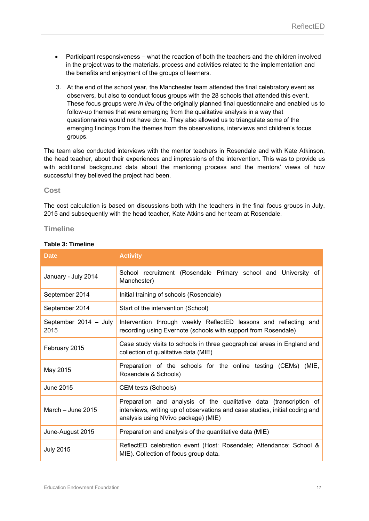- Participant responsiveness what the reaction of both the teachers and the children involved in the project was to the materials, process and activities related to the implementation and the benefits and enjoyment of the groups of learners.
- 3. At the end of the school year, the Manchester team attended the final celebratory event as observers, but also to conduct focus groups with the 28 schools that attended this event. These focus groups were *in lieu* of the originally planned final questionnaire and enabled us to follow-up themes that were emerging from the qualitative analysis in a way that questionnaires would not have done. They also allowed us to triangulate some of the emerging findings from the themes from the observations, interviews and children's focus groups.

The team also conducted interviews with the mentor teachers in Rosendale and with Kate Atkinson, the head teacher, about their experiences and impressions of the intervention. This was to provide us with additional background data about the mentoring process and the mentors' views of how successful they believed the project had been.

#### **Cost**

The cost calculation is based on discussions both with the teachers in the final focus groups in July, 2015 and subsequently with the head teacher, Kate Atkins and her team at Rosendale.

#### **Timeline**

| <b>Date</b>                   | <b>Activity</b>                                                                                                                                                                          |  |  |  |  |  |
|-------------------------------|------------------------------------------------------------------------------------------------------------------------------------------------------------------------------------------|--|--|--|--|--|
| January - July 2014           | School recruitment (Rosendale Primary school and University of<br>Manchester)                                                                                                            |  |  |  |  |  |
| September 2014                | Initial training of schools (Rosendale)                                                                                                                                                  |  |  |  |  |  |
| September 2014                | Start of the intervention (School)                                                                                                                                                       |  |  |  |  |  |
| September 2014 - July<br>2015 | Intervention through weekly ReflectED lessons and reflecting and<br>recording using Evernote (schools with support from Rosendale)                                                       |  |  |  |  |  |
| February 2015                 | Case study visits to schools in three geographical areas in England and<br>collection of qualitative data (MIE)                                                                          |  |  |  |  |  |
| May 2015                      | Preparation of the schools for the online testing (CEMs) (MIE,<br>Rosendale & Schools)                                                                                                   |  |  |  |  |  |
| June 2015                     | CEM tests (Schools)                                                                                                                                                                      |  |  |  |  |  |
| March - June 2015             | Preparation and analysis of the qualitative data (transcription of<br>interviews, writing up of observations and case studies, initial coding and<br>analysis using NVivo package) (MIE) |  |  |  |  |  |
| June-August 2015              | Preparation and analysis of the quantitative data (MIE)                                                                                                                                  |  |  |  |  |  |
| <b>July 2015</b>              | ReflectED celebration event (Host: Rosendale; Attendance: School &<br>MIE). Collection of focus group data.                                                                              |  |  |  |  |  |

#### **Table 3: Timeline**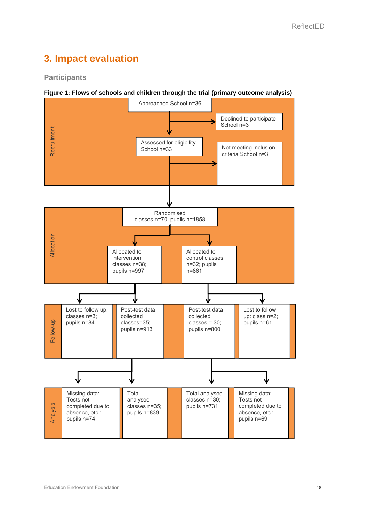### **3. Impact evaluation**

#### **Participants**

#### **Figure 1: Flows of schools and children through the trial (primary outcome analysis)**

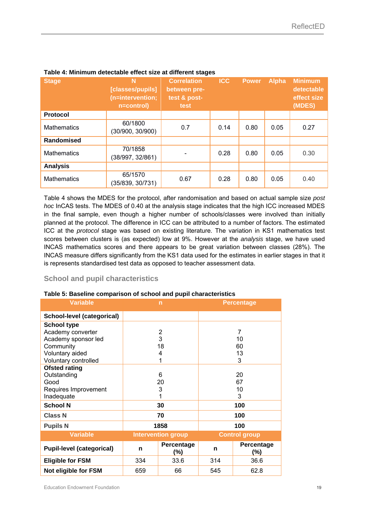| <b>Stage</b>       | N<br>[classes/pupils]<br>(n=intervention;<br>n=control) | <b>Correlation</b><br>between pre-<br>test & post-<br>test | <b>ICC</b> | <b>Power</b> | <b>Alpha</b> | <b>Minimum</b><br>detectable<br>effect size<br>(MDES) |
|--------------------|---------------------------------------------------------|------------------------------------------------------------|------------|--------------|--------------|-------------------------------------------------------|
| <b>Protocol</b>    |                                                         |                                                            |            |              |              |                                                       |
| <b>Mathematics</b> | 60/1800<br>(30/900, 30/900)                             | 0.7                                                        | 0.14       | 0.80         | 0.05         | 0.27                                                  |
| <b>Randomised</b>  |                                                         |                                                            |            |              |              |                                                       |
| <b>Mathematics</b> | 70/1858<br>(38/997, 32/861)                             |                                                            | 0.28       | 0.80         | 0.05         | 0.30                                                  |
| <b>Analysis</b>    |                                                         |                                                            |            |              |              |                                                       |
| <b>Mathematics</b> | 65/1570<br>(35/839, 30/731)                             | 0.67                                                       | 0.28       | 0.80         | 0.05         | 0.40                                                  |

#### **Table 4: Minimum detectable effect size at different stages**

Table 4 shows the MDES for the protocol, after randomisation and based on actual sample size *post hoc* InCAS tests. The MDES of 0.40 at the analysis stage indicates that the high ICC increased MDES in the final sample, even though a higher number of schools/classes were involved than initially planned at the protocol. The difference in ICC can be attributed to a number of factors. The estimated ICC at the *protocol* stage was based on existing literature. The variation in KS1 mathematics test scores between clusters is (as expected) low at 9%. However at the *analysis* stage, we have used INCAS mathematics scores and there appears to be great variation between classes (28%). The INCAS measure differs significantly from the KS1 data used for the estimates in earlier stages in that it is represents standardised test data as opposed to teacher assessment data.

#### **School and pupil characteristics**

#### **Table 5: Baseline comparison of school and pupil characteristics**

| <b>Variable</b>                  |                           | $\mathsf{n}$      |     | <b>Percentage</b>    |
|----------------------------------|---------------------------|-------------------|-----|----------------------|
| School-level (categorical)       |                           |                   |     |                      |
| <b>School type</b>               |                           |                   |     |                      |
| Academy converter                |                           | 2                 |     | 7                    |
| Academy sponsor led              |                           | 3                 |     | 10                   |
| Community                        |                           | 18                |     | 60                   |
| Voluntary aided                  |                           | 4                 |     | 13                   |
| Voluntary controlled             |                           |                   |     | 3                    |
| <b>Ofsted rating</b>             |                           |                   |     |                      |
| Outstanding                      |                           | 6                 | 20  |                      |
| Good                             |                           | 20                | 67  |                      |
| Requires Improvement             |                           | 3                 | 10  |                      |
| Inadequate                       |                           |                   | 3   |                      |
| <b>School N</b>                  |                           | 30                | 100 |                      |
| <b>Class N</b>                   |                           | 70                | 100 |                      |
| <b>Pupils N</b>                  |                           | 1858              |     | 100                  |
| <b>Variable</b>                  | <b>Intervention group</b> |                   |     | <b>Control group</b> |
| <b>Pupil-level (categorical)</b> | n                         | Percentage<br>(%) | n   | Percentage<br>(%)    |
| <b>Eligible for FSM</b>          | 334                       | 33.6              | 314 | 36.6                 |
| Not eligible for FSM             | 659                       | 66                | 545 | 62.8                 |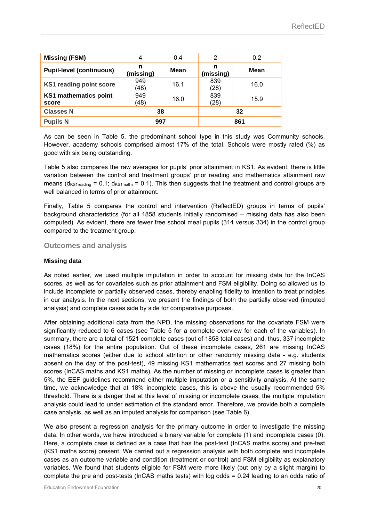| <b>Missing (FSM)</b>                  | 4              | 0.4  | 2              | 0.2  |
|---------------------------------------|----------------|------|----------------|------|
| <b>Pupil-level (continuous)</b>       | n<br>(missing) | Mean | n<br>(missing) | Mean |
| <b>KS1 reading point score</b>        | 949<br>(48)    | 16.1 | 839<br>(28)    | 16.0 |
| <b>KS1 mathematics point</b><br>score | 949<br>(48)    | 16.0 | 839<br>(28)    | 15.9 |
| <b>Classes N</b>                      | 38             |      |                | 32   |
| <b>Pupils N</b>                       | 997            |      |                | 861  |

As can be seen in Table 5, the predominant school type in this study was Community schools. However, academy schools comprised almost 17% of the total. Schools were mostly rated (%) as good with six being outstanding.

Table 5 also compares the raw averages for pupils' prior attainment in KS1. As evident, there is little variation between the control and treatment groups' prior reading and mathematics attainment raw means ( $d_{KSTreading} = 0.1$ ;  $d_{KSTmarks} = 0.1$ ). This then suggests that the treatment and control groups are well balanced in terms of prior attainment.

Finally, Table 5 compares the control and intervention (ReflectED) groups in terms of pupils' background characteristics (for all 1858 students initially randomised – missing data has also been computed). As evident, there are fewer free school meal pupils (314 versus 334) in the control group compared to the treatment group.

#### **Outcomes and analysis**

#### **Missing data**

As noted earlier, we used multiple imputation in order to account for missing data for the InCAS scores, as well as for covariates such as prior attainment and FSM eligibility. Doing so allowed us to include incomplete or partially observed cases, thereby enabling fidelity to intention to treat principles in our analysis. In the next sections, we present the findings of both the partially observed (imputed analysis) and complete cases side by side for comparative purposes.

After obtaining additional data from the NPD, the missing observations for the covariate FSM were significantly reduced to 6 cases (see Table 5 for a complete overview for each of the variables). In summary, there are a total of 1521 complete cases (out of 1858 total cases) and, thus, 337 incomplete cases (18%) for the entire population. Out of these incomplete cases, 261 are missing InCAS mathematics scores (either due to school attrition or other randomly missing data - e.g. students absent on the day of the post-test), 49 missing KS1 mathematics test scores and 27 missing both scores (InCAS maths and KS1 maths). As the number of missing or incomplete cases is greater than 5%, the EEF guidelines recommend either multiple imputation or a sensitivity analysis. At the same time, we acknowledge that at 18% incomplete cases, this is above the usually recommended 5% threshold. There is a danger that at this level of missing or incomplete cases, the multiple imputation analysis could lead to under estimation of the standard error. Therefore, we provide both a complete case analysis, as well as an imputed analysis for comparison (see Table 6).

We also present a regression analysis for the primary outcome in order to investigate the missing data. In other words, we have introduced a binary variable for complete (1) and incomplete cases (0). Here, a complete case is defined as a case that has the post-test (InCAS maths score) and pre-test (KS1 maths score) present. We carried out a regression analysis with both complete and incomplete cases as an outcome variable and condition (treatment or control) and FSM eligibility as explanatory variables. We found that students eligible for FSM were more likely (but only by a slight margin) to complete the pre and post-tests (InCAS maths tests) with log odds = 0.24 leading to an odds ratio of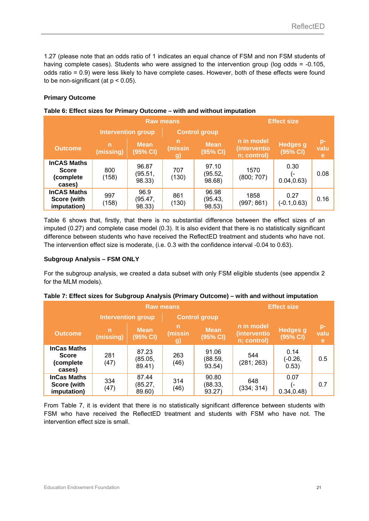1.27 (please note that an odds ratio of 1 indicates an equal chance of FSM and non FSM students of having complete cases). Students who were assigned to the intervention group (log odds = -0.105, odds ratio = 0.9) were less likely to have complete cases. However, both of these effects were found to be non-significant (at  $p < 0.05$ ).

#### **Primary Outcome**

|                                                           | <b>Raw means</b>          |                            |                           |                            |                                           | <b>Effect size</b>          |                   |
|-----------------------------------------------------------|---------------------------|----------------------------|---------------------------|----------------------------|-------------------------------------------|-----------------------------|-------------------|
|                                                           | <b>Intervention group</b> |                            |                           | <b>Control group</b>       |                                           |                             |                   |
| <b>Outcome</b>                                            | $\mathsf{n}$<br>(missing) | <b>Mean</b><br>(95% CI)    | n<br>(missin<br><b>g)</b> | <b>Mean</b><br>(95% CI)    | n in model<br>(interventio<br>n; control) | <b>Hedges g</b><br>(95% CI) | $p-$<br>valu<br>e |
| <b>InCAS Maths</b><br><b>Score</b><br>(complete<br>cases) | 800<br>(158)              | 96.87<br>(95.51,<br>98.33) | 707<br>(130)              | 97.10<br>(95.52,<br>98.68) | 1570<br>(800; 707)                        | 0.30<br>l –<br>0.04, 0.63   | 0.08              |
| <b>InCAS Maths</b><br>Score (with<br>imputation)          | 997<br>(158)              | 96.9<br>(95.47,<br>98.33)  | 861<br>(130)              | 96.98<br>(95.43,<br>98.53) | 1858<br>(997; 861)                        | 0.27<br>$(-0.1, 0.63)$      | 0.16              |

#### **Table 6: Effect sizes for Primary Outcome – with and without imputation**

Table 6 shows that, firstly, that there is no substantial difference between the effect sizes of an imputed (0.27) and complete case model (0.3). It is also evident that there is no statistically significant difference between students who have received the ReflectED treatment and students who have not. The intervention effect size is moderate, (i.e. 0.3 with the confidence interval -0.04 to 0.63).

#### **Subgroup Analysis – FSM ONLY**

For the subgroup analysis, we created a data subset with only FSM eligible students (see appendix 2 for the MLM models).

| <b>Raw means</b>                                          |                           |                            |                    |                            |                                           | <b>Effect size</b>          |                    |
|-----------------------------------------------------------|---------------------------|----------------------------|--------------------|----------------------------|-------------------------------------------|-----------------------------|--------------------|
|                                                           | <b>Intervention group</b> |                            |                    | <b>Control group</b>       |                                           |                             |                    |
| <b>Outcome</b>                                            | $\mathsf{n}$<br>(missing) | <b>Mean</b><br>(95% CI)    | n<br>(missin<br>g) | <b>Mean</b><br>(95% CI)    | n in model<br>(interventio<br>n; control) | <b>Hedges</b> g<br>(95% CI) | $p-$<br>valu<br>e' |
| <b>InCas Maths</b><br><b>Score</b><br>(complete<br>cases) | 281<br>(47)               | 87.23<br>(85.05,<br>89.41) | 263<br>(46)        | 91.06<br>(88.59,<br>93.54) | 544<br>(281; 263)                         | 0.14<br>$(-0.26,$<br>0.53)  | 0.5                |
| <b>InCas Maths</b><br>Score (with<br>imputation)          | 334<br>(47)               | 87.44<br>(85.27,<br>89.60) | 314<br>(46)        | 90.80<br>(88.33,<br>93.27) | 648<br>(334; 314)                         | 0.07<br>ı –<br>0.34, 0.48   | 0.7                |

#### **Table 7: Effect sizes for Subgroup Analysis (Primary Outcome) – with and without imputation**

From Table 7, it is evident that there is no statistically significant difference between students with FSM who have received the ReflectED treatment and students with FSM who have not. The intervention effect size is small.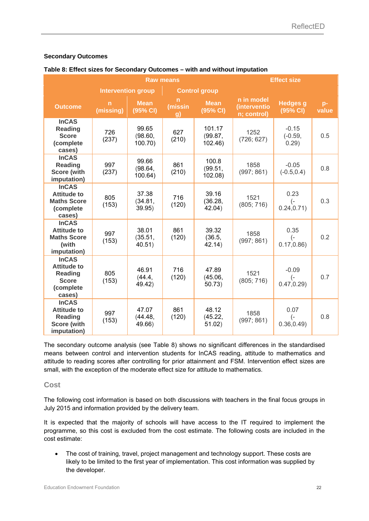#### **Secondary Outcomes**

#### **Table 8: Effect sizes for Secondary Outcomes – with and without imputation**

|                                                                                             |                           |                             | <b>Effect size</b> |                             |                                           |                                         |               |
|---------------------------------------------------------------------------------------------|---------------------------|-----------------------------|--------------------|-----------------------------|-------------------------------------------|-----------------------------------------|---------------|
|                                                                                             | <b>Intervention group</b> |                             |                    | <b>Control group</b>        |                                           |                                         |               |
| <b>Outcome</b>                                                                              | n<br>(missing)            | <b>Mean</b><br>(95% CI)     | n<br>(missin<br>g) | <b>Mean</b><br>(95% CI)     | n in model<br>(interventio<br>n; control) | <b>Hedges</b> g<br>(95% CI)             | $p-$<br>value |
| <b>InCAS</b><br><b>Reading</b><br><b>Score</b><br>(complete<br>cases)                       | 726<br>(237)              | 99.65<br>(98.60,<br>100.70) | 627<br>(210)       | 101.17<br>(99.87,<br>102.46 | 1252<br>(726; 627)                        | $-0.15$<br>$(-0.59,$<br>0.29)           | 0.5           |
| <b>InCAS</b><br><b>Reading</b><br>Score (with<br>imputation)                                | 997<br>(237)              | 99.66<br>(98.64,<br>100.64) | 861<br>(210)       | 100.8<br>(99.51,<br>102.08) | 1858<br>(997; 861)                        | $-0.05$<br>$(-0.5, 0.4)$                | 0.8           |
| <b>InCAS</b><br><b>Attitude to</b><br><b>Maths Score</b><br>(complete<br>cases)             | 805<br>(153)              | 37.38<br>(34.81,<br>39.95)  | 716<br>(120)       | 39.16<br>(36.28,<br>42.04)  | 1521<br>(805; 716)                        | 0.23<br>$(-)$<br>0.24, 0.71)            | 0.3           |
| <b>InCAS</b><br><b>Attitude to</b><br><b>Maths Score</b><br>(with<br>imputation)            | 997<br>(153)              | 38.01<br>(35.51,<br>40.51)  | 861<br>(120)       | 39.32<br>(36.5,<br>42.14)   | 1858<br>(997; 861)                        | 0.35<br>$\left( -\right)$<br>0.17, 0.86 | 0.2           |
| <b>InCAS</b><br><b>Attitude to</b><br><b>Reading</b><br><b>Score</b><br>(complete<br>cases) | 805<br>(153)              | 46.91<br>(44.4,<br>49.42)   | 716<br>(120)       | 47.89<br>(45.06,<br>50.73)  | 1521<br>(805; 716)                        | $-0.09$<br>$(-$<br>0.47, 0.29           | 0.7           |
| <b>InCAS</b><br><b>Attitude to</b><br><b>Reading</b><br><b>Score (with</b><br>imputation)   | 997<br>(153)              | 47.07<br>(44.48,<br>49.66)  | 861<br>(120)       | 48.12<br>(45.22,<br>51.02)  | 1858<br>(997; 861)                        | 0.07<br>$\left( -\right)$<br>0.36, 0.49 | 0.8           |

The secondary outcome analysis (see Table 8) shows no significant differences in the standardised means between control and intervention students for InCAS reading, attitude to mathematics and attitude to reading scores after controlling for prior attainment and FSM. Intervention effect sizes are small, with the exception of the moderate effect size for attitude to mathematics.

#### **Cost**

The following cost information is based on both discussions with teachers in the final focus groups in July 2015 and information provided by the delivery team.

It is expected that the majority of schools will have access to the IT required to implement the programme, so this cost is excluded from the cost estimate. The following costs are included in the cost estimate:

 The cost of training, travel, project management and technology support. These costs are likely to be limited to the first year of implementation. This cost information was supplied by the developer.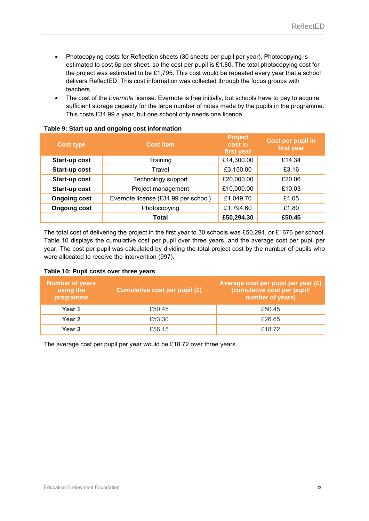- Photocopying costs for Reflection sheets (30 sheets per pupil per year). Photocopying is estimated to cost 6p per sheet, so the cost per pupil is £1.80. The total photocopying cost for the project was estimated to be £1,795. This cost would be repeated every year that a school delivers ReflectED. This cost information was collected through the focus groups with teachers.
- The cost of the *Evernote* license. Evernote is free initially, but schools have to pay to acquire sufficient storage capacity for the large number of notes made by the pupils in the programme. This costs £34.99 a year, but one school only needs one licence.

| <b>Cost type</b>    | <b>Cost item</b>                     | <b>Project</b><br>cost in<br>first year | Cost per pupil in<br>first year |
|---------------------|--------------------------------------|-----------------------------------------|---------------------------------|
| Start-up cost       | Training                             | £14,300.00                              | £14.34                          |
| Start-up cost       | Travel                               | £3,150.00                               | £3.16                           |
| Start-up cost       | Technology support                   | £20,000.00                              | £20.06                          |
| Start-up cost       | Project management                   | £10,000.00                              | £10.03                          |
| <b>Ongoing cost</b> | Evernote license (£34.99 per school) | £1,049.70                               | £1.05                           |
| <b>Ongoing cost</b> | Photocopying                         | £1,794.60                               | £1.80                           |
|                     | Total                                | £50,294.30                              | £50.45                          |

#### **Table 9: Start up and ongoing cost information**

The total cost of delivering the project in the first year to 30 schools was £50,294, or £1676 per school. Table 10 displays the cumulative cost per pupil over three years, and the average cost per pupil per year. The cost per pupil was calculated by dividing the total project cost by the number of pupils who were allocated to receive the intervention (997).

#### **Table 10: Pupil costs over three years**

| <b>Number of years</b><br>using the<br>programme | Cumulative cost per pupil (£) | Average cost per pupil per year $(E)$<br>(cumulative cost per pupil/<br>number of years) |
|--------------------------------------------------|-------------------------------|------------------------------------------------------------------------------------------|
| Year 1                                           | £50.45                        | £50.45                                                                                   |
| Year 2                                           | £53.30                        | £26.65                                                                                   |
| Year 3                                           | £56.15                        | £18.72                                                                                   |

The average cost per pupil per year would be £18.72 over three years.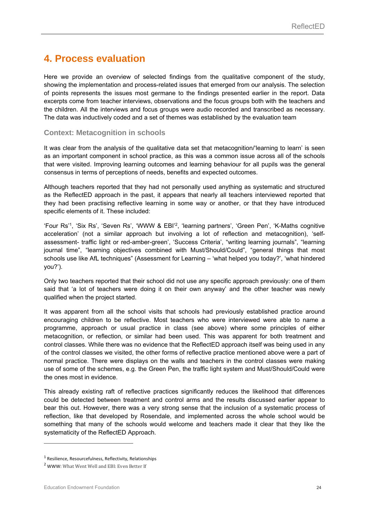### **4. Process evaluation**

Here we provide an overview of selected findings from the qualitative component of the study, showing the implementation and process-related issues that emerged from our analysis. The selection of points represents the issues most germane to the findings presented earlier in the report. Data excerpts come from teacher interviews, observations and the focus groups both with the teachers and the children. All the interviews and focus groups were audio recorded and transcribed as necessary. The data was inductively coded and a set of themes was established by the evaluation team

#### **Context: Metacognition in schools**

It was clear from the analysis of the qualitative data set that metacognition/'learning to learn' is seen as an important component in school practice, as this was a common issue across all of the schools that were visited. Improving learning outcomes and learning behaviour for all pupils was the general consensus in terms of perceptions of needs, benefits and expected outcomes.

Although teachers reported that they had not personally used anything as systematic and structured as the ReflectED approach in the past, it appears that nearly all teachers interviewed reported that they had been practising reflective learning in some way or another, or that they have introduced specific elements of it. These included:

'Four Rs'1, 'Six Rs', 'Seven Rs', 'WWW & EBI'2, 'learning partners', 'Green Pen', 'K-Maths cognitive acceleration' (not a similar approach but involving a lot of reflection and metacognition), 'selfassessment- traffic light or red-amber-green', 'Success Criteria', "writing learning journals", "learning journal time", "learning objectives combined with Must/Should/Could", "general things that most schools use like AfL techniques" (Assessment for Learning – 'what helped you today?', 'what hindered you?').

Only two teachers reported that their school did not use any specific approach previously: one of them said that 'a lot of teachers were doing it on their own anyway' and the other teacher was newly qualified when the project started.

It was apparent from all the school visits that schools had previously established practice around encouraging children to be reflective. Most teachers who were interviewed were able to name a programme, approach or usual practice in class (see above) where some principles of either metacognition, or reflection, or similar had been used. This was apparent for both treatment and control classes. While there was no evidence that the ReflectED approach itself was being used in any of the control classes we visited, the other forms of reflective practice mentioned above were a part of normal practice. There were displays on the walls and teachers in the control classes were making use of some of the schemes, e.g. the Green Pen, the traffic light system and Must/Should/Could were the ones most in evidence.

This already existing raft of reflective practices significantly reduces the likelihood that differences could be detected between treatment and control arms and the results discussed earlier appear to bear this out. However, there was a very strong sense that the inclusion of a systematic process of reflection, like that developed by Rosendale, and implemented across the whole school would be something that many of the schools would welcome and teachers made it clear that they like the systematicity of the ReflectED Approach.

-

<sup>1</sup> Resilience, Resourcefulness, Reflectivity, Relationships

<sup>&</sup>lt;sup>2</sup> WWW: What Went Well and EBI: Even Better If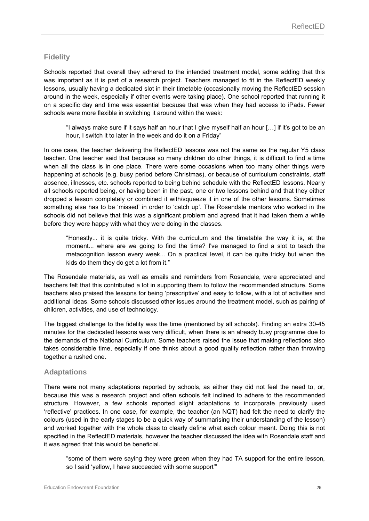### **Fidelity**

Schools reported that overall they adhered to the intended treatment model, some adding that this was important as it is part of a research project. Teachers managed to fit in the ReflectED weekly lessons, usually having a dedicated slot in their timetable (occasionally moving the ReflectED session around in the week, especially if other events were taking place). One school reported that running it on a specific day and time was essential because that was when they had access to iPads. Fewer schools were more flexible in switching it around within the week:

"I always make sure if it says half an hour that I give myself half an hour […] if it's got to be an hour, I switch it to later in the week and do it on a Friday"

In one case, the teacher delivering the ReflectED lessons was not the same as the regular Y5 class teacher. One teacher said that because so many children do other things, it is difficult to find a time when all the class is in one place. There were some occasions when too many other things were happening at schools (e.g. busy period before Christmas), or because of curriculum constraints, staff absence, illnesses, etc. schools reported to being behind schedule with the ReflectED lessons. Nearly all schools reported being, or having been in the past, one or two lessons behind and that they either dropped a lesson completely or combined it with/squeeze it in one of the other lessons. Sometimes something else has to be 'missed' in order to 'catch up'. The Rosendale mentors who worked in the schools did not believe that this was a significant problem and agreed that it had taken them a while before they were happy with what they were doing in the classes.

"Honestly... it is quite tricky. With the curriculum and the timetable the way it is, at the moment... where are we going to find the time? I've managed to find a slot to teach the metacognition lesson every week... On a practical level, it can be quite tricky but when the kids do them they do get a lot from it."

The Rosendale materials, as well as emails and reminders from Rosendale, were appreciated and teachers felt that this contributed a lot in supporting them to follow the recommended structure. Some teachers also praised the lessons for being 'prescriptive' and easy to follow, with a lot of activities and additional ideas. Some schools discussed other issues around the treatment model, such as pairing of children, activities, and use of technology.

The biggest challenge to the fidelity was the time (mentioned by all schools). Finding an extra 30-45 minutes for the dedicated lessons was very difficult, when there is an already busy programme due to the demands of the National Curriculum. Some teachers raised the issue that making reflections also takes considerable time, especially if one thinks about a good quality reflection rather than throwing together a rushed one.

#### **Adaptations**

There were not many adaptations reported by schools, as either they did not feel the need to, or, because this was a research project and often schools felt inclined to adhere to the recommended structure. However, a few schools reported slight adaptations to incorporate previously used 'reflective' practices. In one case, for example, the teacher (an NQT) had felt the need to clarify the colours (used in the early stages to be a quick way of summarising their understanding of the lesson) and worked together with the whole class to clearly define what each colour meant. Doing this is not specified in the ReflectED materials, however the teacher discussed the idea with Rosendale staff and it was agreed that this would be beneficial.

"some of them were saying they were green when they had TA support for the entire lesson, so I said 'yellow, I have succeeded with some support'"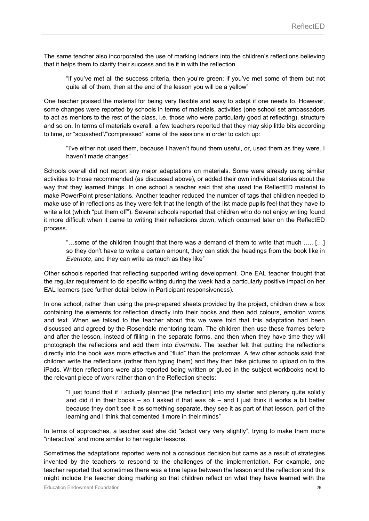The same teacher also incorporated the use of marking ladders into the children's reflections believing that it helps them to clarify their success and tie it in with the reflection.

"if you've met all the success criteria, then you're green; if you've met some of them but not quite all of them, then at the end of the lesson you will be a yellow"

One teacher praised the material for being very flexible and easy to adapt if one needs to. However, some changes were reported by schools in terms of materials, activities (one school set ambassadors to act as mentors to the rest of the class, i.e. those who were particularly good at reflecting), structure and so on. In terms of materials overall, a few teachers reported that they may skip little bits according to time, or "squashed"/"compressed" some of the sessions in order to catch up:

"I've either not used them, because I haven't found them useful, or, used them as they were. I haven't made changes"

Schools overall did not report any major adaptations on materials. Some were already using similar activities to those recommended (as discussed above), or added their own individual stories about the way that they learned things. In one school a teacher said that she used the ReflectED material to make PowerPoint presentations. Another teacher reduced the number of tags that children needed to make use of in reflections as they were felt that the length of the list made pupils feel that they have to write a lot (which "put them off"). Several schools reported that children who do not enjoy writing found it more difficult when it came to writing their reflections down, which occurred later on the ReflectED process.

"…some of the children thought that there was a demand of them to write that much ….. […] so they don't have to write a certain amount, they can stick the headings from the book like in *Evernote*, and they can write as much as they like"

Other schools reported that reflecting supported writing development. One EAL teacher thought that the regular requirement to do specific writing during the week had a particularly positive impact on her EAL learners (see further detail below in Participant responsiveness).

In one school, rather than using the pre-prepared sheets provided by the project, children drew a box containing the elements for reflection directly into their books and then add colours, emotion words and text. When we talked to the teacher about this we were told that this adaptation had been discussed and agreed by the Rosendale mentoring team. The children then use these frames before and after the lesson, instead of filling in the separate forms, and then when they have time they will photograph the reflections and add them into *Evernote*. The teacher felt that putting the reflections directly into the book was more effective and "fluid" than the proformas. A few other schools said that children write the reflections (rather than typing them) and they then take pictures to upload on to the iPads. Written reflections were also reported being written or glued in the subject workbooks next to the relevant piece of work rather than on the Reflection sheets:

"I just found that if I actually planned [the reflection] into my starter and plenary quite solidly and did it in their books – so I asked if that was  $ok -$  and I just think it works a bit better because they don't see it as something separate, they see it as part of that lesson, part of the learning and I think that cemented it more in their minds"

In terms of approaches, a teacher said she did "adapt very very slightly", trying to make them more "interactive" and more similar to her regular lessons.

Sometimes the adaptations reported were not a conscious decision but came as a result of strategies invented by the teachers to respond to the challenges of the implementation. For example, one teacher reported that sometimes there was a time lapse between the lesson and the reflection and this might include the teacher doing marking so that children reflect on what they have learned with the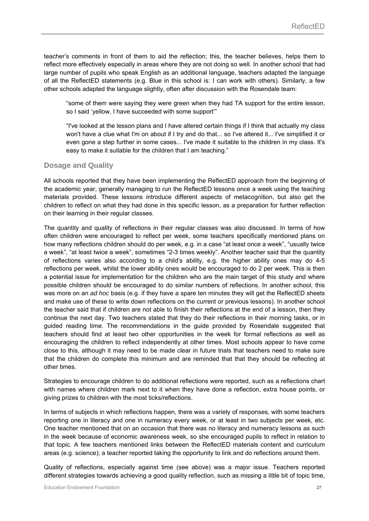teacher's comments in front of them to aid the reflection; this, the teacher believes, helps them to reflect more effectively especially in areas where they are not doing so well. In another school that had large number of pupils who speak English as an additional language, teachers adapted the language of all the ReflectED statements (e.g. Blue in this school is: I can work with others). Similarly, a few other schools adapted the language slightly, often after discussion with the Rosendale team:

"some of them were saying they were green when they had TA support for the entire lesson, so I said 'yellow, I have succeeded with some support'"

"I've looked at the lesson plans and I have altered certain things if I think that actually my class won't have a clue what I'm on about if I try and do that... so I've altered it... I've simplified it or even gone a step further in some cases... I've made it suitable to the children in my class. It's easy to make it suitable for the children that I am teaching."

### **Dosage and Quality**

All schools reported that they have been implementing the ReflectED approach from the beginning of the academic year, generally managing to run the ReflectED lessons once a week using the teaching materials provided. These lessons introduce different aspects of metacognition, but also get the children to reflect on what they had done in this specific lesson, as a preparation for further reflection on their learning in their regular classes.

The quantity and quality of reflections in their regular classes was also discussed. In terms of how often children were encouraged to reflect per week, some teachers specifically mentioned plans on how many reflections children should do per week, e.g. in a case "at least once a week", "usually twice a week", "at least twice a week", sometimes "2-3 times weekly". Another teacher said that the quantity of reflections varies also according to a child's ability, e.g. the higher ability ones may do 4-5 reflections per week, whilst the lower ability ones would be encouraged to do 2 per week. This is then a potential issue for implementation for the children who are the main target of this study and where possible children should be encouraged to do similar numbers of reflections. In another school, this was more on an *ad hoc* basis (e.g. if they have a spare ten minutes they will get the ReflectED sheets and make use of these to write down reflections on the current or previous lessons). In another school the teacher said that if children are not able to finish their reflections at the end of a lesson, then they continue the next day. Two teachers stated that they do their reflections in their morning tasks, or in guided reading time. The recommendations in the guide provided by Rosendale suggested that teachers should find at least two other opportunities in the week for formal reflections as well as encouraging the children to reflect independently at other times. Most schools appear to have come close to this, although it may need to be made clear in future trials that teachers need to make sure that the children do complete this minimum and are reminded that that they should be reflecting at other times.

Strategies to encourage children to do additional reflections were reported, such as a reflections chart with names where children mark next to it when they have done a reflection, extra house points, or giving prizes to children with the most ticks/reflections.

In terms of subjects in which reflections happen, there was a variety of responses, with some teachers reporting one in literacy and one in numeracy every week, or at least in two subjects per week, etc. One teacher mentioned that on an occasion that there was no literacy and numeracy lessons as such in the week because of economic awareness week, so she encouraged pupils to reflect in relation to that topic. A few teachers mentioned links between the ReflectED materials content and curriculum areas (e.g. science); a teacher reported taking the opportunity to link and do reflections around them.

Quality of reflections, especially against time (see above) was a major issue. Teachers reported different strategies towards achieving a good quality reflection, such as missing a little bit of topic time,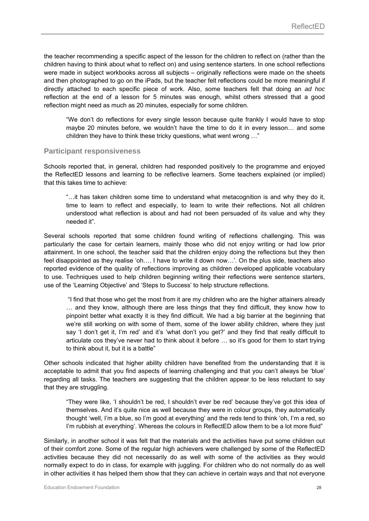the teacher recommending a specific aspect of the lesson for the children to reflect on (rather than the children having to think about what to reflect on) and using sentence starters. In one school reflections were made in subject workbooks across all subjects – originally reflections were made on the sheets and then photographed to go on the iPads, but the teacher felt reflections could be more meaningful if directly attached to each specific piece of work. Also, some teachers felt that doing an *ad hoc*  reflection at the end of a lesson for 5 minutes was enough, whilst others stressed that a good reflection might need as much as 20 minutes, especially for some children.

"We don't do reflections for every single lesson because quite frankly I would have to stop maybe 20 minutes before, we wouldn't have the time to do it in every lesson… and some children they have to think these tricky questions, what went wrong …"

#### **Participant responsiveness**

Schools reported that, in general, children had responded positively to the programme and enjoyed the ReflectED lessons and learning to be reflective learners. Some teachers explained (or implied) that this takes time to achieve:

"…it has taken children some time to understand what metacognition is and why they do it, time to learn to reflect and especially, to learn to write their reflections. Not all children understood what reflection is about and had not been persuaded of its value and why they needed it".

Several schools reported that some children found writing of reflections challenging. This was particularly the case for certain learners, mainly those who did not enjoy writing or had low prior attainment. In one school, the teacher said that the children enjoy doing the reflections but they then feel disappointed as they realise 'oh.... I have to write it down now...'. On the plus side, teachers also reported evidence of the quality of reflections improving as children developed applicable vocabulary to use. Techniques used to help children beginning writing their reflections were sentence starters, use of the 'Learning Objective' and 'Steps to Success' to help structure reflections.

 "I find that those who get the most from it are my children who are the higher attainers already … and they know, although there are less things that they find difficult, they know how to pinpoint better what exactly it is they find difficult. We had a big barrier at the beginning that we're still working on with some of them, some of the lower ability children, where they just say 'I don't get it, I'm red' and it's 'what don't you get?' and they find that really difficult to articulate cos they've never had to think about it before … so it's good for them to start trying to think about it, but it is a battle"

Other schools indicated that higher ability children have benefited from the understanding that it is acceptable to admit that you find aspects of learning challenging and that you can't always be 'blue' regarding all tasks. The teachers are suggesting that the children appear to be less reluctant to say that they are struggling.

"They were like, 'I shouldn't be red, I shouldn't ever be red' because they've got this idea of themselves. And it's quite nice as well because they were in colour groups, they automatically thought 'well, I'm a blue, so I'm good at everything' and the reds tend to think 'oh, I'm a red, so I'm rubbish at everything'. Whereas the colours in ReflectED allow them to be a lot more fluid"

Similarly, in another school it was felt that the materials and the activities have put some children out of their comfort zone. Some of the regular high achievers were challenged by some of the ReflectED activities because they did not necessarily do as well with some of the activities as they would normally expect to do in class, for example with juggling. For children who do not normally do as well in other activities it has helped them show that they can achieve in certain ways and that not everyone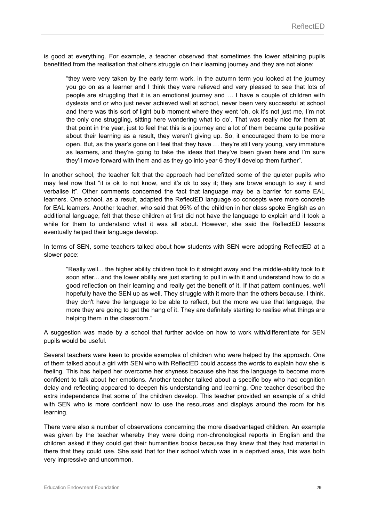is good at everything. For example, a teacher observed that sometimes the lower attaining pupils benefitted from the realisation that others struggle on their learning journey and they are not alone:

"they were very taken by the early term work, in the autumn term you looked at the journey you go on as a learner and I think they were relieved and very pleased to see that lots of people are struggling that it is an emotional journey and … I have a couple of children with dyslexia and or who just never achieved well at school, never been very successful at school and there was this sort of light bulb moment where they went 'oh, ok it's not just me, I'm not the only one struggling, sitting here wondering what to do'. That was really nice for them at that point in the year, just to feel that this is a journey and a lot of them became quite positive about their learning as a result, they weren't giving up. So, it encouraged them to be more open. But, as the year's gone on I feel that they have … they're still very young, very immature as learners, and they're going to take the ideas that they've been given here and I'm sure they'll move forward with them and as they go into year 6 they'll develop them further".

In another school, the teacher felt that the approach had benefitted some of the quieter pupils who may feel now that "it is ok to not know, and it's ok to say it; they are brave enough to say it and verbalise it". Other comments concerned the fact that language may be a barrier for some EAL learners. One school, as a result, adapted the ReflectED language so concepts were more concrete for EAL learners. Another teacher, who said that 95% of the children in her class spoke English as an additional language, felt that these children at first did not have the language to explain and it took a while for them to understand what it was all about. However, she said the ReflectED lessons eventually helped their language develop.

In terms of SEN, some teachers talked about how students with SEN were adopting ReflectED at a slower pace:

"Really well... the higher ability children took to it straight away and the middle-ability took to it soon after... and the lower ability are just starting to pull in with it and understand how to do a good reflection on their learning and really get the benefit of it. If that pattern continues, we'll hopefully have the SEN up as well. They struggle with it more than the others because, I think, they don't have the language to be able to reflect, but the more we use that language, the more they are going to get the hang of it. They are definitely starting to realise what things are helping them in the classroom."

A suggestion was made by a school that further advice on how to work with/differentiate for SEN pupils would be useful.

Several teachers were keen to provide examples of children who were helped by the approach. One of them talked about a girl with SEN who with ReflectED could access the words to explain how she is feeling. This has helped her overcome her shyness because she has the language to become more confident to talk about her emotions. Another teacher talked about a specific boy who had cognition delay and reflecting appeared to deepen his understanding and learning. One teacher described the extra independence that some of the children develop. This teacher provided an example of a child with SEN who is more confident now to use the resources and displays around the room for his learning.

There were also a number of observations concerning the more disadvantaged children. An example was given by the teacher whereby they were doing non-chronological reports in English and the children asked if they could get their humanities books because they knew that they had material in there that they could use. She said that for their school which was in a deprived area, this was both very impressive and uncommon.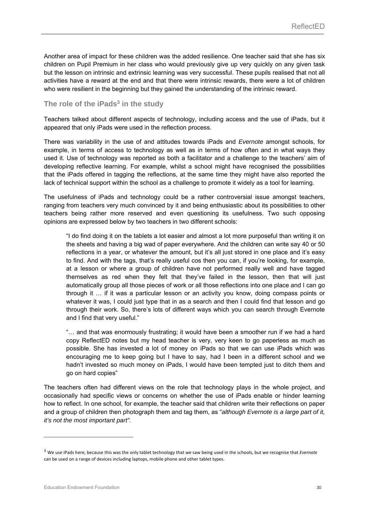Another area of impact for these children was the added resilience. One teacher said that she has six children on Pupil Premium in her class who would previously give up very quickly on any given task but the lesson on intrinsic and extrinsic learning was very successful. These pupils realised that not all activities have a reward at the end and that there were intrinsic rewards, there were a lot of children who were resilient in the beginning but they gained the understanding of the intrinsic reward.

#### The role of the iPads<sup>3</sup> in the study

Teachers talked about different aspects of technology, including access and the use of iPads, but it appeared that only iPads were used in the reflection process.

There was variability in the use of and attitudes towards iPads and *Evernote* amongst schools, for example, in terms of access to technology as well as in terms of how often and in what ways they used it. Use of technology was reported as both a facilitator and a challenge to the teachers' aim of developing reflective learning. For example, whilst a school might have recognised the possibilities that the iPads offered in tagging the reflections, at the same time they might have also reported the lack of technical support within the school as a challenge to promote it widely as a tool for learning.

The usefulness of iPads and technology could be a rather controversial issue amongst teachers, ranging from teachers very much convinced by it and being enthusiastic about its possibilities to other teachers being rather more reserved and even questioning its usefulness. Two such opposing opinions are expressed below by two teachers in two different schools:

"I do find doing it on the tablets a lot easier and almost a lot more purposeful than writing it on the sheets and having a big wad of paper everywhere. And the children can write say 40 or 50 reflections in a year, or whatever the amount, but it's all just stored in one place and it's easy to find. And with the tags, that's really useful cos then you can, if you're looking, for example, at a lesson or where a group of children have not performed really well and have tagged themselves as red when they felt that they've failed in the lesson, then that will just automatically group all those pieces of work or all those reflections into one place and I can go through it … if it was a particular lesson or an activity you know, doing compass points or whatever it was, I could just type that in as a search and then I could find that lesson and go through their work. So, there's lots of different ways which you can search through Evernote and I find that very useful."

"… and that was enormously frustrating; it would have been a smoother run if we had a hard copy ReflectED notes but my head teacher is very, very keen to go paperless as much as possible. She has invested a lot of money on iPads so that we can use iPads which was encouraging me to keep going but I have to say, had I been in a different school and we hadn't invested so much money on iPads, I would have been tempted just to ditch them and go on hard copies"

The teachers often had different views on the role that technology plays in the whole project, and occasionally had specific views or concerns on whether the use of iPads enable or hinder learning how to reflect. In one school, for example, the teacher said that children write their reflections on paper and a group of children then photograph them and tag them, as "*although Evernote is a large part of it, it's not the most important part"*.

-

<sup>3</sup> We use iPads here, because this was the only tablet technology that we saw being used in the schools, but we recognise that *Evernote* can be used on a range of devices including laptops, mobile phone and other tablet types.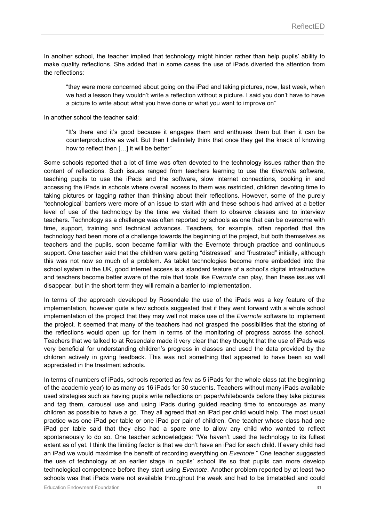In another school, the teacher implied that technology might hinder rather than help pupils' ability to make quality reflections. She added that in some cases the use of iPads diverted the attention from the reflections:

"they were more concerned about going on the iPad and taking pictures, now, last week, when we had a lesson they wouldn't write a reflection without a picture. I said you don't have to have a picture to write about what you have done or what you want to improve on"

In another school the teacher said:

"It's there and it's good because it engages them and enthuses them but then it can be counterproductive as well. But then I definitely think that once they get the knack of knowing how to reflect then […] it will be better"

Some schools reported that a lot of time was often devoted to the technology issues rather than the content of reflections. Such issues ranged from teachers learning to use the *Evernote* software, teaching pupils to use the iPads and the software, slow internet connections, booking in and accessing the iPads in schools where overall access to them was restricted, children devoting time to taking pictures or tagging rather than thinking about their reflections. However, some of the purely 'technological' barriers were more of an issue to start with and these schools had arrived at a better level of use of the technology by the time we visited them to observe classes and to interview teachers. Technology as a challenge was often reported by schools as one that can be overcome with time, support, training and technical advances. Teachers, for example, often reported that the technology had been more of a challenge towards the beginning of the project, but both themselves as teachers and the pupils, soon became familiar with the Evernote through practice and continuous support. One teacher said that the children were getting "distressed" and "frustrated" initially, although this was not now so much of a problem. As tablet technologies become more embedded into the school system in the UK, good internet access is a standard feature of a school's digital infrastructure and teachers become better aware of the role that tools like *Evernote* can play, then these issues will disappear, but in the short term they will remain a barrier to implementation.

In terms of the approach developed by Rosendale the use of the iPads was a key feature of the implementation, however quite a few schools suggested that if they went forward with a whole school implementation of the project that they may well not make use of the *Evernote* software to implement the project. It seemed that many of the teachers had not grasped the possibilities that the storing of the reflections would open up for them in terms of the monitoring of progress across the school. Teachers that we talked to at Rosendale made it very clear that they thought that the use of iPads was very beneficial for understanding children's progress in classes and used the data provided by the children actively in giving feedback. This was not something that appeared to have been so well appreciated in the treatment schools.

In terms of numbers of iPads, schools reported as few as 5 iPads for the whole class (at the beginning of the academic year) to as many as 16 iPads for 30 students. Teachers without many iPads available used strategies such as having pupils write reflections on paper/whiteboards before they take pictures and tag them, carousel use and using iPads during guided reading time to encourage as many children as possible to have a go. They all agreed that an iPad per child would help. The most usual practice was one iPad per table or one iPad per pair of children. One teacher whose class had one iPad per table said that they also had a spare one to allow any child who wanted to reflect spontaneously to do so. One teacher acknowledges: "We haven't used the technology to its fullest extent as of yet. I think the limiting factor is that we don't have an iPad for each child. If every child had an iPad we would maximise the benefit of recording everything on *Evernote*." One teacher suggested the use of technology at an earlier stage in pupils' school life so that pupils can more develop technological competence before they start using *Evernote*. Another problem reported by at least two schools was that iPads were not available throughout the week and had to be timetabled and could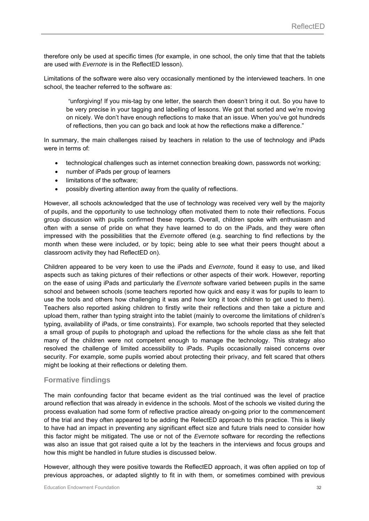therefore only be used at specific times (for example, in one school, the only time that that the tablets are used with *Evernote* is in the ReflectED lesson).

Limitations of the software were also very occasionally mentioned by the interviewed teachers. In one school, the teacher referred to the software as:

*"*unforgiving! If you mis-tag by one letter, the search then doesn't bring it out. So you have to be very precise in your tagging and labelling of lessons. We got that sorted and we're moving on nicely. We don't have enough reflections to make that an issue. When you've got hundreds of reflections, then you can go back and look at how the reflections make a difference."

In summary, the main challenges raised by teachers in relation to the use of technology and iPads were in terms of:

- technological challenges such as internet connection breaking down, passwords not working;
- number of iPads per group of learners
- **.** limitations of the software:
- possibly diverting attention away from the quality of reflections.

However, all schools acknowledged that the use of technology was received very well by the majority of pupils, and the opportunity to use technology often motivated them to note their reflections. Focus group discussion with pupils confirmed these reports. Overall, children spoke with enthusiasm and often with a sense of pride on what they have learned to do on the iPads, and they were often impressed with the possibilities that the *Evernote* offered (e.g. searching to find reflections by the month when these were included, or by topic; being able to see what their peers thought about a classroom activity they had ReflectED on).

Children appeared to be very keen to use the iPads and *Evernote*, found it easy to use, and liked aspects such as taking pictures of their reflections or other aspects of their work. However, reporting on the ease of using iPads and particularly the *Evernote* software varied between pupils in the same school and between schools (some teachers reported how quick and easy it was for pupils to learn to use the tools and others how challenging it was and how long it took children to get used to them). Teachers also reported asking children to firstly write their reflections and then take a picture and upload them, rather than typing straight into the tablet (mainly to overcome the limitations of children's typing, availability of iPads, or time constraints). For example, two schools reported that they selected a small group of pupils to photograph and upload the reflections for the whole class as she felt that many of the children were not competent enough to manage the technology. This strategy also resolved the challenge of limited accessibility to iPads. Pupils occasionally raised concerns over security. For example, some pupils worried about protecting their privacy, and felt scared that others might be looking at their reflections or deleting them.

#### **Formative findings**

The main confounding factor that became evident as the trial continued was the level of practice around reflection that was already in evidence in the schools. Most of the schools we visited during the process evaluation had some form of reflective practice already on-going prior to the commencement of the trial and they often appeared to be adding the RelectED approach to this practice. This is likely to have had an impact in preventing any significant effect size and future trials need to consider how this factor might be mitigated. The use or not of the *Evernote* software for recording the reflections was also an issue that got raised quite a lot by the teachers in the interviews and focus groups and how this might be handled in future studies is discussed below.

However, although they were positive towards the ReflectED approach, it was often applied on top of previous approaches, or adapted slightly to fit in with them, or sometimes combined with previous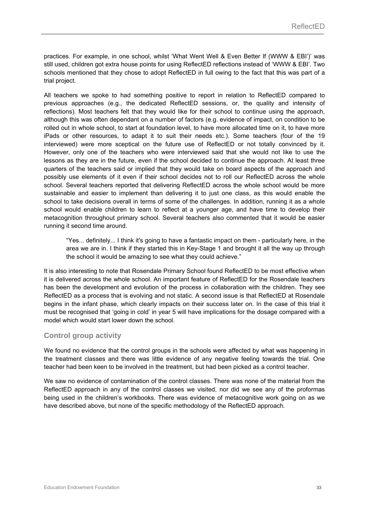practices. For example, in one school, whilst 'What Went Well & Even Better If (WWW & EBI')' was still used, children got extra house points for using ReflectED reflections instead of 'WWW & EBI'. Two schools mentioned that they chose to adopt ReflectED in full owing to the fact that this was part of a trial project.

All teachers we spoke to had something positive to report in relation to ReflectED compared to previous approaches (e.g., the dedicated ReflectED sessions, or, the quality and intensity of reflections). Most teachers felt that they would like for their school to continue using the approach, although this was often dependant on a number of factors (e.g. evidence of impact, on condition to be rolled out in whole school, to start at foundation level, to have more allocated time on it, to have more iPads or other resources, to adapt it to suit their needs etc.). Some teachers (four of the 19 interviewed) were more sceptical on the future use of ReflectED or not totally convinced by it. However, only one of the teachers who were interviewed said that she would not like to use the lessons as they are in the future, even if the school decided to continue the approach. At least three quarters of the teachers said or implied that they would take on board aspects of the approach and possibly use elements of it even if their school decides not to roll our ReflectED across the whole school. Several teachers reported that delivering ReflectED across the whole school would be more sustainable and easier to implement than delivering it to just one class, as this would enable the school to take decisions overall in terms of some of the challenges. In addition, running it as a whole school would enable children to learn to reflect at a younger age, and have time to develop their metacognition throughout primary school. Several teachers also commented that it would be easier running it second time around.

"Yes... definitely... I think it's going to have a fantastic impact on them - particularly here, in the area we are in. I think if they started this in Key-Stage 1 and brought it all the way up through the school it would be amazing to see what they could achieve."

It is also interesting to note that Rosendale Primary School found ReflectED to be most effective when it is delivered across the whole school. An important feature of ReflectED for the Rosendale teachers has been the development and evolution of the process in collaboration with the children. They see ReflectED as a process that is evolving and not static. A second issue is that ReflectED at Rosendale begins in the infant phase, which clearly impacts on their success later on. In the case of this trial it must be recognised that 'going in cold' in year 5 will have implications for the dosage compared with a model which would start lower down the school.

#### **Control group activity**

We found no evidence that the control groups in the schools were affected by what was happening in the treatment classes and there was little evidence of any negative feeling towards the trial. One teacher had been keen to be involved in the treatment, but had been picked as a control teacher.

We saw no evidence of contamination of the control classes. There was none of the material from the ReflectED approach in any of the control classes we visited, nor did we see any of the proformas being used in the children's workbooks. There was evidence of metacognitive work going on as we have described above, but none of the specific methodology of the ReflectED approach.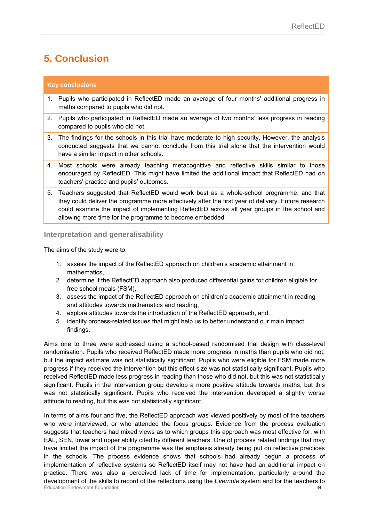### **5. Conclusion**

#### **Key conclusions**

- 1. Pupils who participated in ReflectED made an average of four months' additional progress in maths compared to pupils who did not.
- 2. Pupils who participated in ReflectED made an average of two months' less progress in reading compared to pupils who did not.
- 3. The findings for the schools in this trial have moderate to high security. However, the analysis conducted suggests that we cannot conclude from this trial alone that the intervention would have a similar impact in other schools.
- 4. Most schools were already teaching metacognitive and reflective skills similar to those encouraged by ReflectED. This might have limited the additional impact that ReflectED had on teachers' practice and pupils' outcomes.
- 5. Teachers suggested that ReflectED would work best as a whole-school programme, and that they could deliver the programme more effectively after the first year of delivery. Future research could examine the impact of implementing ReflectED across all year groups in the school and allowing more time for the programme to become embedded.

#### **Interpretation and generalisability**

The aims of the study were to:

- 1. assess the impact of the ReflectED approach on children's academic attainment in mathematics,
- 2. determine if the ReflectED approach also produced differential gains for children eligible for free school meals (FSM),
- 3. assess the impact of the ReflectED approach on children's academic attainment in reading and attitudes towards mathematics and reading,
- 4. explore attitudes towards the introduction of the ReflectED approach, and
- 5. identify process-related issues that might help us to better understand our main impact findings.

Aims one to three were addressed using a school-based randomised trial design with class-level randomisation. Pupils who received ReflectED made more progress in maths than pupils who did not, but the impact estimate was not statistically significant. Pupils who were eligible for FSM made more progress if they received the intervention but this effect size was not statistically significant. Pupils who received ReflectED made less progress in reading than those who did not, but this was not statistically significant. Pupils in the intervention group develop a more positive attitude towards maths, but this was not statistically significant. Pupils who received the intervention developed a slightly worse attitude to reading, but this was not statistically significant.

**Education Endowment Foundation** 34 In terms of aims four and five, the ReflectED approach was viewed positively by most of the teachers who were interviewed, or who attended the focus groups. Evidence from the process evaluation suggests that teachers had mixed views as to which groups this approach was most effective for, with EAL, SEN, lower and upper ability cited by different teachers. One of process related findings that may have limited the impact of the programme was the emphasis already being put on reflective practices in the schools. The process evidence shows that schools had already begun a process of implementation of reflective systems so ReflectED itself may not have had an additional impact on practice. There was also a perceived lack of time for implementation, particularly around the development of the skills to record of the reflections using the *Evernote* system and for the teachers to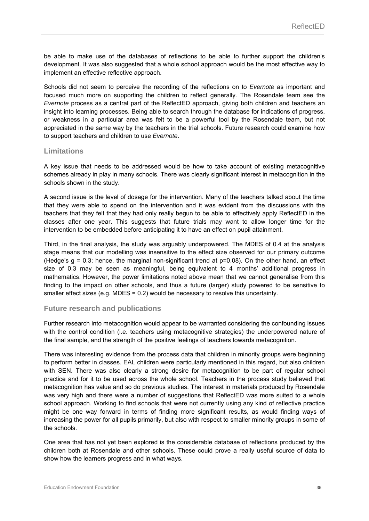be able to make use of the databases of reflections to be able to further support the children's development. It was also suggested that a whole school approach would be the most effective way to implement an effective reflective approach.

Schools did not seem to perceive the recording of the reflections on to *Evernote* as important and focused much more on supporting the children to reflect generally. The Rosendale team see the *Evernote* process as a central part of the ReflectED approach, giving both children and teachers an insight into learning processes. Being able to search through the database for indications of progress, or weakness in a particular area was felt to be a powerful tool by the Rosendale team, but not appreciated in the same way by the teachers in the trial schools. Future research could examine how to support teachers and children to use *Evernote*.

#### **Limitations**

A key issue that needs to be addressed would be how to take account of existing metacognitive schemes already in play in many schools. There was clearly significant interest in metacognition in the schools shown in the study.

A second issue is the level of dosage for the intervention. Many of the teachers talked about the time that they were able to spend on the intervention and it was evident from the discussions with the teachers that they felt that they had only really begun to be able to effectively apply ReflectED in the classes after one year. This suggests that future trials may want to allow longer time for the intervention to be embedded before anticipating it to have an effect on pupil attainment.

Third, in the final analysis, the study was arguably underpowered. The MDES of 0.4 at the analysis stage means that our modelling was insensitive to the effect size observed for our primary outcome (Hedge's  $g = 0.3$ ; hence, the marginal non-significant trend at  $p=0.08$ ). On the other hand, an effect size of 0.3 may be seen as meaningful, being equivalent to 4 months' additional progress in mathematics. However, the power limitations noted above mean that we cannot generalise from this finding to the impact on other schools, and thus a future (larger) study powered to be sensitive to smaller effect sizes (e.g. MDES =  $0.2$ ) would be necessary to resolve this uncertainty.

#### **Future research and publications**

Further research into metacognition would appear to be warranted considering the confounding issues with the control condition (i.e. teachers using metacognitive strategies) the underpowered nature of the final sample, and the strength of the positive feelings of teachers towards metacognition.

There was interesting evidence from the process data that children in minority groups were beginning to perform better in classes. EAL children were particularly mentioned in this regard, but also children with SEN. There was also clearly a strong desire for metacognition to be part of regular school practice and for it to be used across the whole school. Teachers in the process study believed that metacognition has value and so do previous studies. The interest in materials produced by Rosendale was very high and there were a number of suggestions that ReflectED was more suited to a whole school approach. Working to find schools that were not currently using any kind of reflective practice might be one way forward in terms of finding more significant results, as would finding ways of increasing the power for all pupils primarily, but also with respect to smaller minority groups in some of the schools.

One area that has not yet been explored is the considerable database of reflections produced by the children both at Rosendale and other schools. These could prove a really useful source of data to show how the learners progress and in what ways.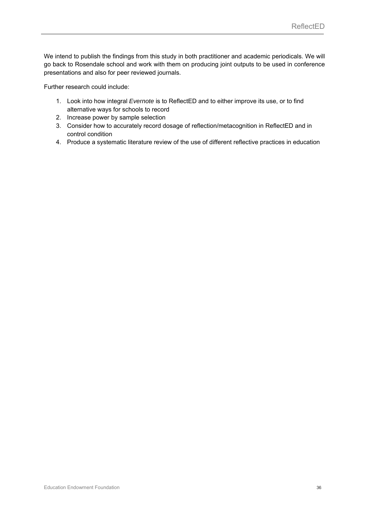We intend to publish the findings from this study in both practitioner and academic periodicals. We will go back to Rosendale school and work with them on producing joint outputs to be used in conference presentations and also for peer reviewed journals.

Further research could include:

- 1. Look into how integral *Evernote* is to ReflectED and to either improve its use, or to find alternative ways for schools to record
- 2. Increase power by sample selection
- 3. Consider how to accurately record dosage of reflection/metacognition in ReflectED and in control condition
- 4. Produce a systematic literature review of the use of different reflective practices in education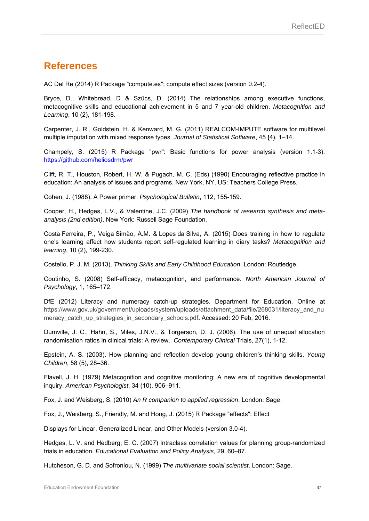### **References**

AC Del Re (2014) R Package "compute.es": compute effect sizes (version 0.2-4).

Bryce, D., Whitebread, D & Szűcs, D. (2014) The relationships among executive functions, metacognitive skills and educational achievement in 5 and 7 year-old children. *Metacognition and Learning*, 10 (2), 181-198.

Carpenter, J. R., Goldstein, H. & Kenward, M. G. (2011) REALCOM-IMPUTE software for multilevel multiple imputation with mixed response types. *Journal of Statistical Software*, 45 **(**4), 1–14.

Champely, S. (2015) R Package "pwr": Basic functions for power analysis (version 1.1-3). https://github.com/heliosdrm/pwr

Clift, R. T., Houston, Robert, H. W. & Pugach, M. C. (Eds) (1990) Encouraging reflective practice in education: An analysis of issues and programs. New York, NY, US: Teachers College Press.

Cohen, J. (1988). A Power primer. *Psychological Bulletin*, 112, 155-159.

Cooper, H., Hedges, L.V., & Valentine, J.C. (2009) *The handbook of research synthesis and metaanalysis (2nd edition)*. New York: Russell Sage Foundation.

Costa Ferreira, P., Veiga Simão, A.M. & Lopes da Silva, A. (2015) Does training in how to regulate one's learning affect how students report self-regulated learning in diary tasks? *Metacognition and learning*, 10 (2), 199-230.

Costello, P. J. M. (2013). *Thinking Skills and Early Childhood Education*. London: Routledge.

Coutinho, S. (2008) Self-efficacy, metacognition, and performance. *North American Journal of Psychology*, 1, 165–172.

DfE (2012) Literacy and numeracy catch-up strategies. Department for Education. Online at https://www.gov.uk/government/uploads/system/uploads/attachment\_data/file/268031/literacy\_and\_nu meracy catch up strategies in secondary schools.pdf. Accessed: 20 Feb, 2016.

Dumville, J. C., Hahn, S., Miles, J.N.V., & Torgerson, D. J. (2006). The use of unequal allocation randomisation ratios in clinical trials: A review. *Contemporary Clinical* Trials, 27(1), 1-12.

Epstein, A. S. (2003). How planning and reflection develop young children's thinking skills. *Young Children*, 58 (5), 28–36.

Flavell, J. H. (1979) Metacognition and cognitive monitoring: A new era of cognitive developmental inquiry. *American Psychologist*, 34 (10), 906–911.

Fox, J. and Weisberg, S. (2010) *An R companion to applied regression*. London: Sage.

Fox, J., Weisberg, S., Friendly, M. and Hong, J. (2015) R Package "effects": Effect

Displays for Linear, Generalized Linear, and Other Models (version 3.0-4).

Hedges, L. V. and Hedberg, E. C. (2007) Intraclass correlation values for planning group-randomized trials in education, *Educational Evaluation and Policy Analysis*, 29, 60–87.

Hutcheson, G. D. and Sofroniou, N. (1999) *The multivariate social scientist*. London: Sage.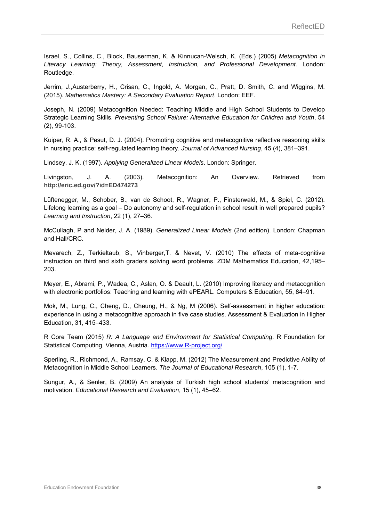Israel, S., Collins, C., Block, Bauserman, K. & Kinnucan-Welsch, K. (Eds.) (2005) *Metacognition in Literacy Learning: Theory, Assessment, Instruction, and Professional Development*. London: Routledge.

Jerrim, J.,Austerberry, H., Crisan, C., Ingold, A. Morgan, C., Pratt, D. Smith, C. and Wiggins, M. (2015). *Mathematics Mastery: A Secondary Evaluation Report*. London: EEF.

Joseph, N. (2009) Metacognition Needed: Teaching Middle and High School Students to Develop Strategic Learning Skills. *Preventing School Failure: Alternative Education for Children and Youth*, 54 (2), 99-103.

Kuiper, R. A., & Pesut, D. J. (2004). Promoting cognitive and metacognitive reflective reasoning skills in nursing practice: self-regulated learning theory. *Journal of Advanced Nursing*, 45 (4), 381–391.

Lindsey, J. K. (1997). *Applying Generalized Linear Models*. London: Springer.

Livingston, J. A. (2003). Metacognition: An Overview. Retrieved from **http://eric.ed.gov/?id=ED474273**

Lüftenegger, M., Schober, B., van de Schoot, R., Wagner, P., Finsterwald, M., & Spiel, C. (2012). Lifelong learning as a goal – Do autonomy and self-regulation in school result in well prepared pupils? *Learning and Instruction*, 22 (1), 27–36.

McCullagh, P and Nelder, J. A. (1989). *Generalized Linear Models* (2nd edition). London: Chapman and Hall/CRC.

Mevarech, Z., Terkieltaub, S., Vinberger,T. & Nevet, V. (2010) The effects of meta-cognitive instruction on third and sixth graders solving word problems. ZDM Mathematics Education, 42,195– 203.

Meyer, E., Abrami, P., Wadea, C., Aslan, O. & Deault, L. (2010) Improving literacy and metacognition with electronic portfolios: Teaching and learning with ePEARL. Computers & Education, 55, 84–91.

Mok, M., Lung, C., Cheng, D., Cheung, H., & Ng, M (2006). Self-assessment in higher education: experience in using a metacognitive approach in five case studies. Assessment & Evaluation in Higher Education, 31, 415–433.

R Core Team (2015) *R: A Language and Environment for Statistical Computing*. R Foundation for Statistical Computing, Vienna, Austria. https://www.R-project.org/

Sperling, R., Richmond, A., Ramsay, C. & Klapp, M. (2012) The Measurement and Predictive Ability of Metacognition in Middle School Learners. *The Journal of Educational Research*, 105 (1), 1-7.

Sungur, A., & Senler, B. (2009) An analysis of Turkish high school students' metacognition and motivation. *Educational Research and Evaluation*, 15 (1), 45–62.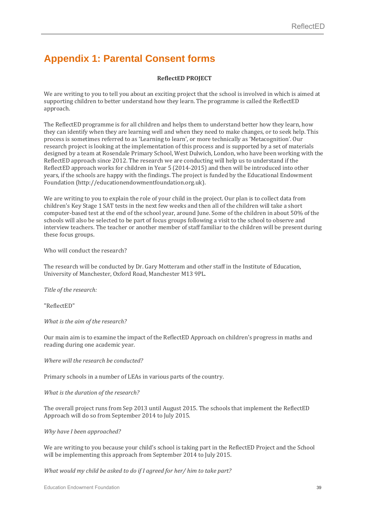### **Appendix 1: Parental Consent forms**

#### **ReflectED PROJECT**

We are writing to you to tell you about an exciting project that the school is involved in which is aimed at supporting children to better understand how they learn. The programme is called the ReflectED approach. 

The ReflectED programme is for all children and helps them to understand better how they learn, how they can identify when they are learning well and when they need to make changes, or to seek help. This process is sometimes referred to as 'Learning to learn', or more technically as 'Metacognition'. Our research project is looking at the implementation of this process and is supported by a set of materials designed by a team at Rosendale Primary School, West Dulwich, London, who have been working with the ReflectED approach since 2012. The research we are conducting will help us to understand if the ReflectED approach works for children in Year 5 (2014-2015) and then will be introduced into other years, if the schools are happy with the findings. The project is funded by the Educational Endowment Foundation (http://educationendowmentfoundation.org.uk).

We are writing to you to explain the role of your child in the project. Our plan is to collect data from children's Key Stage 1 SAT tests in the next few weeks and then all of the children will take a short computer-based test at the end of the school year, around June. Some of the children in about 50% of the schools will also be selected to be part of focus groups following a visit to the school to observe and interview teachers. The teacher or another member of staff familiar to the children will be present during these focus groups.

Who will conduct the research?

The research will be conducted by Dr. Gary Motteram and other staff in the Institute of Education, University of Manchester, Oxford Road, Manchester M13 9PL.

*Title of the research:*

"ReflectED"

*What is the aim of the research?*

Our main aim is to examine the impact of the ReflectED Approach on children's progress in maths and reading during one academic year.

*Where will the research be conducted?*

Primary schools in a number of LEAs in various parts of the country.

*What is the duration of the research?*

The overall project runs from Sep 2013 until August 2015. The schools that implement the ReflectED Approach will do so from September 2014 to July 2015.

*Why have I been approached?*

We are writing to you because your child's school is taking part in the ReflectED Project and the School will be implementing this approach from September 2014 to July 2015.

*What would my child be asked to do if I agreed for her/ him to take part?*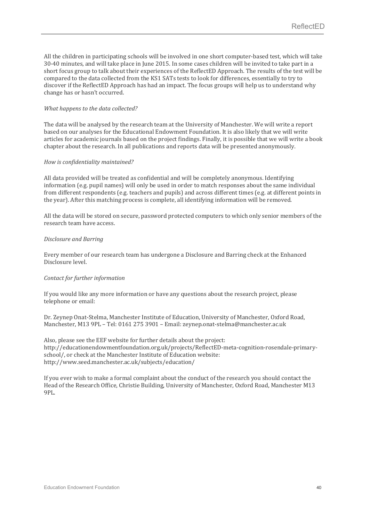All the children in participating schools will be involved in one short computer-based test, which will take 30-40 minutes, and will take place in June 2015. In some cases children will be invited to take part in a short focus group to talk about their experiences of the ReflectED Approach. The results of the test will be compared to the data collected from the KS1 SATs tests to look for differences, essentially to try to discover if the ReflectED Approach has had an impact. The focus groups will help us to understand why change has or hasn't occurred.

#### *What happens to the data collected?*

The data will be analysed by the research team at the University of Manchester. We will write a report based on our analyses for the Educational Endowment Foundation. It is also likely that we will write articles for academic journals based on the project findings. Finally, it is possible that we will write a book chapter about the research. In all publications and reports data will be presented anonymously.

#### *How is confidentiality maintained?*

All data provided will be treated as confidential and will be completely anonymous. Identifying information (e.g. pupil names) will only be used in order to match responses about the same individual from different respondents (e.g. teachers and pupils) and across different times (e.g. at different points in the year). After this matching process is complete, all identifying information will be removed.

All the data will be stored on secure, password protected computers to which only senior members of the research team have access. 

#### *Disclosure and Barring*

Every member of our research team has undergone a Disclosure and Barring check at the Enhanced Disclosure level.

#### *Contact for further information*

If you would like any more information or have any questions about the research project, please telephone or email:

Dr. Zeynep Onat-Stelma, Manchester Institute of Education, University of Manchester, Oxford Road, Manchester, M13 9PL – Tel: 0161 275 3901 – Email: zeynep.onat-stelma@manchester.ac.uk

Also, please see the EEF website for further details about the project: http://educationendowmentfoundation.org.uk/projects/ReflectED-meta-cognition-rosendale-primaryschool/, or check at the Manchester Institute of Education website: http://www.seed.manchester.ac.uk/subjects/education/ 

If you ever wish to make a formal complaint about the conduct of the research you should contact the Head of the Research Office, Christie Building, University of Manchester, Oxford Road, Manchester M13 9PL.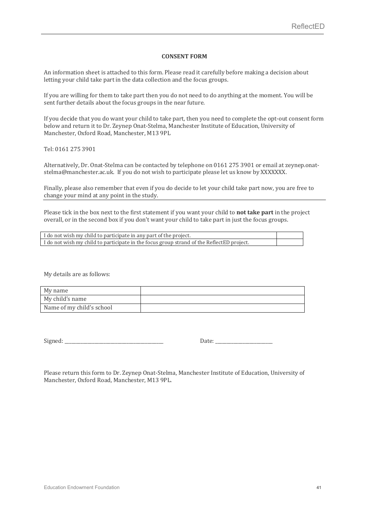#### **CONSENT FORM**

An information sheet is attached to this form. Please read it carefully before making a decision about letting your child take part in the data collection and the focus groups.

If you are willing for them to take part then you do not need to do anything at the moment. You will be sent further details about the focus groups in the near future.

If you decide that you do want your child to take part, then you need to complete the opt-out consent form below and return it to Dr. Zeynep Onat-Stelma, Manchester Institute of Education, University of Manchester, Oxford Road, Manchester, M13 9PL

Tel: 0161 275 3901 

Alternatively, Dr. Onat-Stelma can be contacted by telephone on 0161 275 3901 or email at zeynep.onatstelma@manchester.ac.uk. If you do not wish to participate please let us know by XXXXXXX.

Finally, please also remember that even if you do decide to let your child take part now, you are free to change your mind at any point in the study.

Please tick in the box next to the first statement if you want your child to **not take part** in the project overall, or in the second box if you don't want your child to take part in just the focus groups.

| I do not wish my child to participate in any part of the project.                         |  |
|-------------------------------------------------------------------------------------------|--|
| I do not wish my child to participate in the focus group strand of the ReflectED project. |  |

My details are as follows:

| My name                   |  |
|---------------------------|--|
| My child's name           |  |
| Name of my child's school |  |

Signed: <u>Date:</u>

Please return this form to Dr. Zeynep Onat-Stelma, Manchester Institute of Education, University of Manchester, Oxford Road, Manchester, M13 9PL.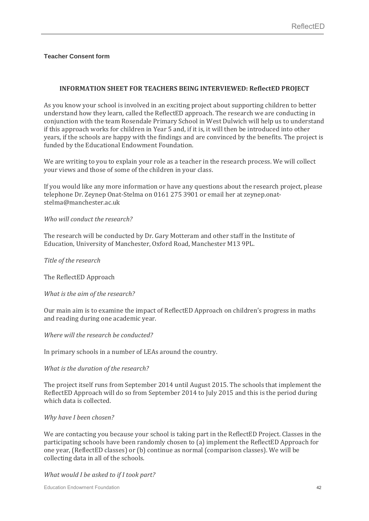#### **Teacher Consent form**

#### **INFORMATION SHEET FOR TEACHERS BEING INTERVIEWED: ReflectED PROJECT**

As you know your school is involved in an exciting project about supporting children to better understand how they learn, called the ReflectED approach. The research we are conducting in conjunction with the team Rosendale Primary School in West Dulwich will help us to understand if this approach works for children in Year 5 and, if it is, it will then be introduced into other years, if the schools are happy with the findings and are convinced by the benefits. The project is funded by the Educational Endowment Foundation.

We are writing to you to explain your role as a teacher in the research process. We will collect your views and those of some of the children in your class.

If you would like any more information or have any questions about the research project, please telephone Dr. Zeynep Onat-Stelma on 0161 275 3901 or email her at zeynep.onatstelma@manchester.ac.uk 

#### *Who will conduct the research?*

The research will be conducted by Dr. Gary Motteram and other staff in the Institute of Education, University of Manchester, Oxford Road, Manchester M13 9PL.

*Title of the research*

The ReflectED Approach

*What is the aim of the research?*

Our main aim is to examine the impact of ReflectED Approach on children's progress in maths and reading during one academic year.

*Where will the research be conducted?*

In primary schools in a number of LEAs around the country.

#### *What is the duration of the research?*

The project itself runs from September 2014 until August 2015. The schools that implement the ReflectED Approach will do so from September 2014 to July 2015 and this is the period during which data is collected.

#### *Why have I been chosen?*

We are contacting you because your school is taking part in the ReflectED Project. Classes in the participating schools have been randomly chosen to (a) implement the ReflectED Approach for one year, (ReflectED classes) or (b) continue as normal (comparison classes). We will be collecting data in all of the schools.

*What would I be asked to if I took part?*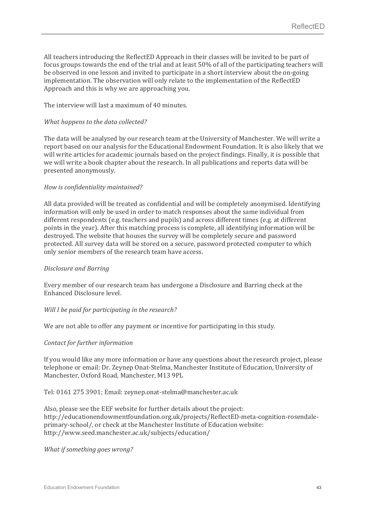All teachers introducing the ReflectED Approach in their classes will be invited to be part of focus groups towards the end of the trial and at least  $50\%$  of all of the participating teachers will be observed in one lesson and invited to participate in a short interview about the on-going implementation. The observation will only relate to the implementation of the ReflectED Approach and this is why we are approaching you.

The interview will last a maximum of 40 minutes.

#### *What happens to the data collected?*

The data will be analysed by our research team at the University of Manchester. We will write a report based on our analysis for the Educational Endowment Foundation. It is also likely that we will write articles for academic journals based on the project findings. Finally, it is possible that we will write a book chapter about the research. In all publications and reports data will be presented anonymously.

#### *How is confidentiality maintained?*

All data provided will be treated as confidential and will be completely anonymised. Identifying information will only be used in order to match responses about the same individual from different respondents (e.g. teachers and pupils) and across different times (e.g. at different points in the year). After this matching process is complete, all identifying information will be destroyed. The website that houses the survey will be completely secure and password protected. All survey data will be stored on a secure, password protected computer to which only senior members of the research team have access.

#### *Disclosure and Barring*

Every member of our research team has undergone a Disclosure and Barring check at the Enhanced Disclosure level. 

#### *Will I be paid for participating in the research?*

We are not able to offer any payment or incentive for participating in this study.

#### *Contact for further information*

If you would like any more information or have any questions about the research project, please telephone or email: Dr. Zeynep Onat-Stelma, Manchester Institute of Education, University of Manchester, Oxford Road, Manchester, M13 9PL

Tel: 0161 275 3901; Email: zeynep.onat-stelma@manchester.ac.uk

Also, please see the EEF website for further details about the project: http://educationendowmentfoundation.org.uk/projects/ReflectED-meta-cognition-rosendaleprimary-school/, or check at the Manchester Institute of Education website: http://www.seed.manchester.ac.uk/subjects/education/ 

*What if something goes wrong?*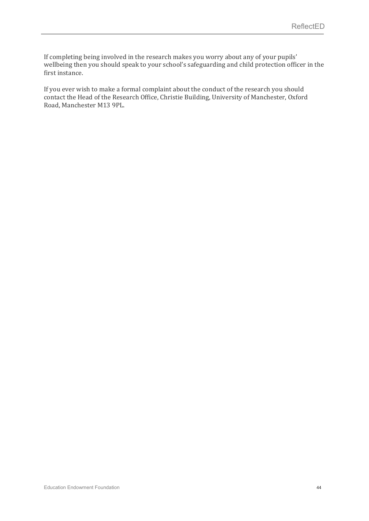If completing being involved in the research makes you worry about any of your pupils' wellbeing then you should speak to your school's safeguarding and child protection officer in the first instance.

If you ever wish to make a formal complaint about the conduct of the research you should contact the Head of the Research Office, Christie Building, University of Manchester, Oxford Road, Manchester M13 9PL.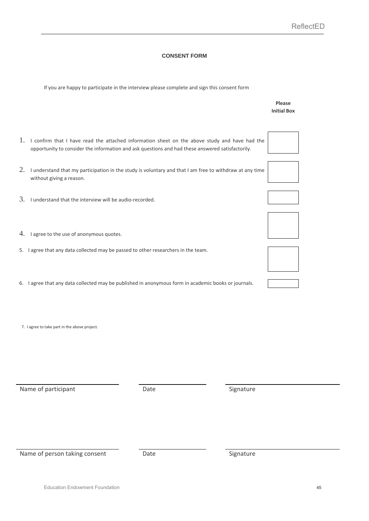#### **CONSENT FORM**

| If you are happy to participate in the interview please complete and sign this consent form |  |
|---------------------------------------------------------------------------------------------|--|
|                                                                                             |  |

|                                                                                                                                                                                                      | Please<br><b>Initial Box</b> |
|------------------------------------------------------------------------------------------------------------------------------------------------------------------------------------------------------|------------------------------|
| 1. I confirm that I have read the attached information sheet on the above study and have had the<br>opportunity to consider the information and ask questions and had these answered satisfactorily. |                              |
| 2. I understand that my participation in the study is voluntary and that I am free to withdraw at any time<br>without giving a reason.                                                               |                              |
| 3.<br>I understand that the interview will be audio-recorded.                                                                                                                                        |                              |
| 4. I agree to the use of anonymous quotes.                                                                                                                                                           |                              |
| 5. I agree that any data collected may be passed to other researchers in the team.                                                                                                                   |                              |
| 6. I agree that any data collected may be published in anonymous form in academic books or journals.                                                                                                 |                              |
| 7. I agree to take part in the above project.                                                                                                                                                        |                              |
| Name of participant<br>Signature<br>Date                                                                                                                                                             |                              |

Name of person taking consent **Date Date Signature**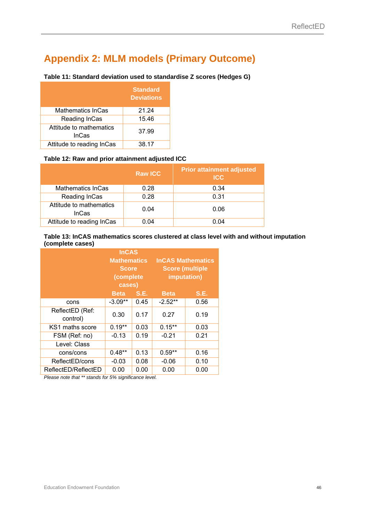### **Appendix 2: MLM models (Primary Outcome)**

#### **Table 11: Standard deviation used to standardise Z scores (Hedges G)**

|                                  | <b>Standard</b><br><b>Deviations</b> |
|----------------------------------|--------------------------------------|
| <b>Mathematics InCas</b>         | 21.24                                |
| Reading InCas                    | 15.46                                |
| Attitude to mathematics<br>InCas | 37.99                                |
| Attitude to reading InCas        | 38.17                                |

#### **Table 12: Raw and prior attainment adjusted ICC**

|                                         | <b>Raw ICC</b> | <b>Prior attainment adjusted</b><br><b>ICC</b> |
|-----------------------------------------|----------------|------------------------------------------------|
| <b>Mathematics InCas</b>                | 0.28           | 0.34                                           |
| Reading InCas                           | 0.28           | 0.31                                           |
| Attitude to mathematics<br><b>InCas</b> | 0.04           | 0.06                                           |
| Attitude to reading InCas               | 0.04           | 0.04                                           |

#### **Table 13: InCAS mathematics scores clustered at class level with and without imputation (complete cases)**

|                             | <b>InCAS</b><br><b>Mathematics</b><br><b>Score</b><br>(complete)<br>cases) |      |             | <b>InCAS Mathematics</b><br><b>Score (multiple</b><br>imputation) |
|-----------------------------|----------------------------------------------------------------------------|------|-------------|-------------------------------------------------------------------|
|                             | <b>Beta</b>                                                                | S.E. | <b>Beta</b> | <b>S.E.</b>                                                       |
| cons                        | $-3.09**$                                                                  | 0.45 | $-2.52**$   | 0.56                                                              |
| ReflectED (Ref:<br>control) | 0.30                                                                       | 0.17 | 0.27        | 0.19                                                              |
| KS1 maths score             | $0.19**$                                                                   | 0.03 | $0.15**$    | 0.03                                                              |
| FSM (Ref: no)               | $-0.13$                                                                    | 0.19 | $-0.21$     | 0.21                                                              |
| Level: Class                |                                                                            |      |             |                                                                   |
| cons/cons                   | $0.48**$                                                                   | 0.13 | $0.59**$    | 0.16                                                              |
| ReflectED/cons              | $-0.03$                                                                    | 0.08 | $-0.06$     | 0.10                                                              |
| ReflectED/ReflectED         | 0.00                                                                       | 0.00 | 0.00        | 0.00                                                              |

*Please note that \*\* stands for 5% significance level.*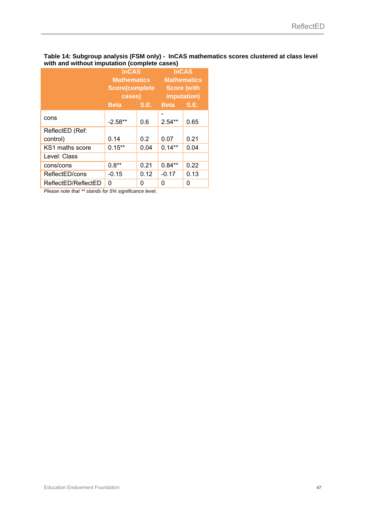#### **Table 14: Subgroup analysis (FSM only) - InCAS mathematics scores clustered at class level with and without imputation (complete cases)**

|                     | <b>InCAS</b>          |             | <b>InCAS</b>       |             |  |
|---------------------|-----------------------|-------------|--------------------|-------------|--|
|                     | <b>Mathematics</b>    |             | <b>Mathematics</b> |             |  |
|                     | <b>Score(complete</b> |             | <b>Score (with</b> |             |  |
|                     | cases)                |             | imputation)        |             |  |
|                     | <b>Beta</b>           | <b>S.E.</b> | <b>Beta</b>        | <b>S.E.</b> |  |
|                     |                       |             |                    |             |  |
| cons                | $-2.58**$             | 0.6         | $2.54***$          | 0.65        |  |
| ReflectED (Ref:     |                       |             |                    |             |  |
| control)            | 0.14                  | 0.2         | 0.07               | 0.21        |  |
| KS1 maths score     | $0.15***$             | 0.04        | $0.14**$           | 0.04        |  |
| Level: Class        |                       |             |                    |             |  |
| cons/cons           | $0.8**$               | 0.21        | $0.84**$           | 0.22        |  |
| ReflectED/cons      | $-0.15$               | 0.12        | $-0.17$            | 0.13        |  |
| ReflectED/ReflectED | 0                     | 0           | 0                  | 0           |  |

*Please note that \*\* stands for 5% significance level.*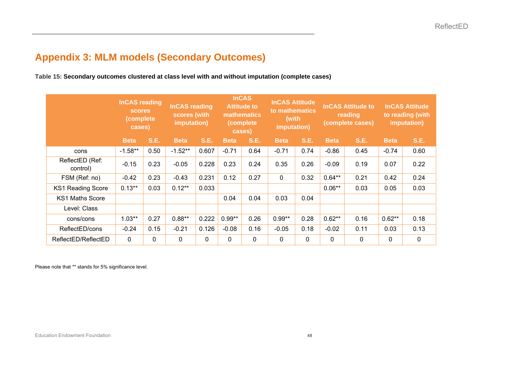### **Appendix 3: MLM models (Secondary Outcomes)**

**Table 15: Secondary outcomes clustered at class level with and without imputation (complete cases)**

|                             | <b>InCAS reading</b><br><b>scores</b><br>(complete)<br>cases) |             | <b>InCAS reading</b><br>scores (with<br>imputation) |             | <b>InCAS</b><br><b>Attitude to</b><br><b>mathematics</b><br>(complete)<br>cases) |             | <b>InCAS Attitude</b><br>to mathematics<br>(with<br>imputation) |             | <b>InCAS Attitude to</b><br>reading<br>(complete cases) |             | <b>InCAS Attitude</b><br>to reading (with<br>imputation) |                  |
|-----------------------------|---------------------------------------------------------------|-------------|-----------------------------------------------------|-------------|----------------------------------------------------------------------------------|-------------|-----------------------------------------------------------------|-------------|---------------------------------------------------------|-------------|----------------------------------------------------------|------------------|
|                             | <b>Beta</b>                                                   | <b>S.E.</b> | <b>Beta</b>                                         | <b>S.E.</b> | <b>Beta</b>                                                                      | <b>S.E.</b> | <b>Beta</b>                                                     | <b>S.E.</b> | <b>Beta</b>                                             | <b>S.E.</b> | <b>Beta</b>                                              | <b>S.E.</b>      |
| cons                        | $-1.58**$                                                     | 0.50        | $-1.52**$                                           | 0.607       | $-0.71$                                                                          | 0.64        | $-0.71$                                                         | 0.74        | $-0.86$                                                 | 0.45        | $-0.74$                                                  | 0.60             |
| ReflectED (Ref:<br>control) | $-0.15$                                                       | 0.23        | $-0.05$                                             | 0.228       | 0.23                                                                             | 0.24        | 0.35                                                            | 0.26        | $-0.09$                                                 | 0.19        | 0.07                                                     | 0.22             |
| FSM (Ref: no)               | $-0.42$                                                       | 0.23        | $-0.43$                                             | 0.231       | 0.12                                                                             | 0.27        | 0                                                               | 0.32        | $0.64***$                                               | 0.21        | 0.42                                                     | 0.24             |
| <b>KS1 Reading Score</b>    | $0.13***$                                                     | 0.03        | $0.12***$                                           | 0.033       |                                                                                  |             |                                                                 |             | $0.06**$                                                | 0.03        | 0.05                                                     | 0.03             |
| KS1 Maths Score             |                                                               |             |                                                     |             | 0.04                                                                             | 0.04        | 0.03                                                            | 0.04        |                                                         |             |                                                          |                  |
| Level: Class                |                                                               |             |                                                     |             |                                                                                  |             |                                                                 |             |                                                         |             |                                                          |                  |
| cons/cons                   | $1.03**$                                                      | 0.27        | $0.88**$                                            | 0.222       | $0.99**$                                                                         | 0.26        | $0.99**$                                                        | 0.28        | $0.62**$                                                | 0.16        | $0.62**$                                                 | 0.18             |
| ReflectED/cons              | $-0.24$                                                       | 0.15        | $-0.21$                                             | 0.126       | $-0.08$                                                                          | 0.16        | $-0.05$                                                         | 0.18        | $-0.02$                                                 | 0.11        | 0.03                                                     | 0.13             |
| ReflectED/ReflectED         | 0                                                             | $\mathbf 0$ | 0                                                   | $\mathbf 0$ | 0                                                                                | 0           | 0                                                               | 0           | $\mathbf{0}$                                            | 0           | 0                                                        | $\boldsymbol{0}$ |

Please note that \*\* stands for 5% significance level.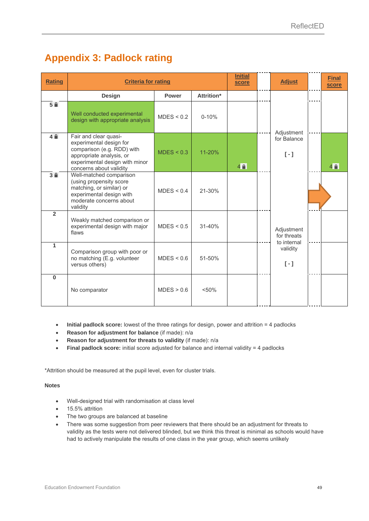### **Appendix 3: Padlock rating**

| <b>Rating</b>  | <b>Criteria for rating</b>                                                                                                                                              | <b>Initial</b><br>score | <b>Adjust</b> | <b>Final</b><br>score |                                          |                |
|----------------|-------------------------------------------------------------------------------------------------------------------------------------------------------------------------|-------------------------|---------------|-----------------------|------------------------------------------|----------------|
|                | <b>Design</b>                                                                                                                                                           | <b>Power</b>            | Attrition*    |                       |                                          |                |
| 5 <sup>2</sup> | Well conducted experimental<br>design with appropriate analysis                                                                                                         | MDES < 0.2              | $0 - 10%$     |                       | Adjustment                               |                |
| 4 <sup>2</sup> | Fair and clear quasi-<br>experimental design for<br>comparison (e.g. RDD) with<br>appropriate analysis, or<br>experimental design with minor<br>concerns about validity | MDES < 0.3              | 11-20%        | 4 <sup>2</sup>        | for Balance<br>$[-1]$                    | 4 <sup>2</sup> |
| 3 <sup>2</sup> | Well-matched comparison<br>(using propensity score<br>matching, or similar) or<br>experimental design with<br>moderate concerns about<br>validity                       | MDES < 0.4              | 21-30%        |                       |                                          |                |
| $\overline{2}$ | Weakly matched comparison or<br>experimental design with major<br>flaws                                                                                                 | MDES < 0.5              | $31 - 40%$    |                       | Adjustment<br>for threats<br>to internal |                |
| $\overline{1}$ | Comparison group with poor or<br>no matching (E.g. volunteer<br>versus others)                                                                                          | MDES < 0.6              | 51-50%        |                       | validity<br>$[-1]$                       |                |
| $\bf{0}$       | No comparator                                                                                                                                                           | MDES > 0.6              | < 50%         |                       |                                          |                |

- **Initial padlock score:** lowest of the three ratings for design, power and attrition = 4 padlocks
- **Reason for adjustment for balance** (if made): n/a
- **Reason for adjustment for threats to validity** (if made): n/a
- **Final padlock score:** initial score adjusted for balance and internal validity = 4 padlocks

\*Attrition should be measured at the pupil level, even for cluster trials.

#### **Notes**

- Well-designed trial with randomisation at class level
- 15.5% attrition
- The two groups are balanced at baseline
- There was some suggestion from peer reviewers that there should be an adjustment for threats to validity as the tests were not delivered blinded, but we think this threat is minimal as schools would have had to actively manipulate the results of one class in the year group, which seems unlikely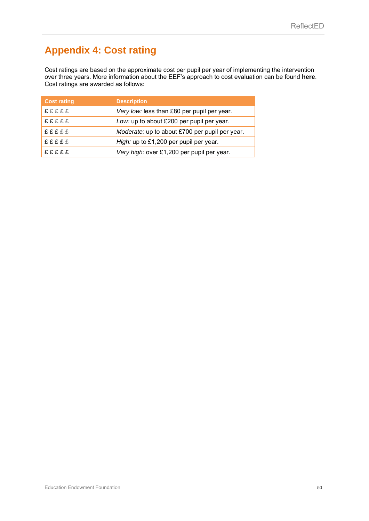## **Appendix 4: Cost rating**

Cost ratings are based on the approximate cost per pupil per year of implementing the intervention over three years. More information about the EEF's approach to cost evaluation can be found **here**. Cost ratings are awarded as follows:

| <b>Cost rating</b> | <b>Description</b>                             |
|--------------------|------------------------------------------------|
| <b>£££££</b>       | Very low: less than £80 per pupil per year.    |
| <b>£££££</b>       | Low: up to about £200 per pupil per year.      |
| <b>£££££</b>       | Moderate: up to about £700 per pupil per year. |
| <b>EEEEE</b>       | High: up to £1,200 per pupil per year.         |
| <b>fffff</b>       | Very high: over £1,200 per pupil per year.     |